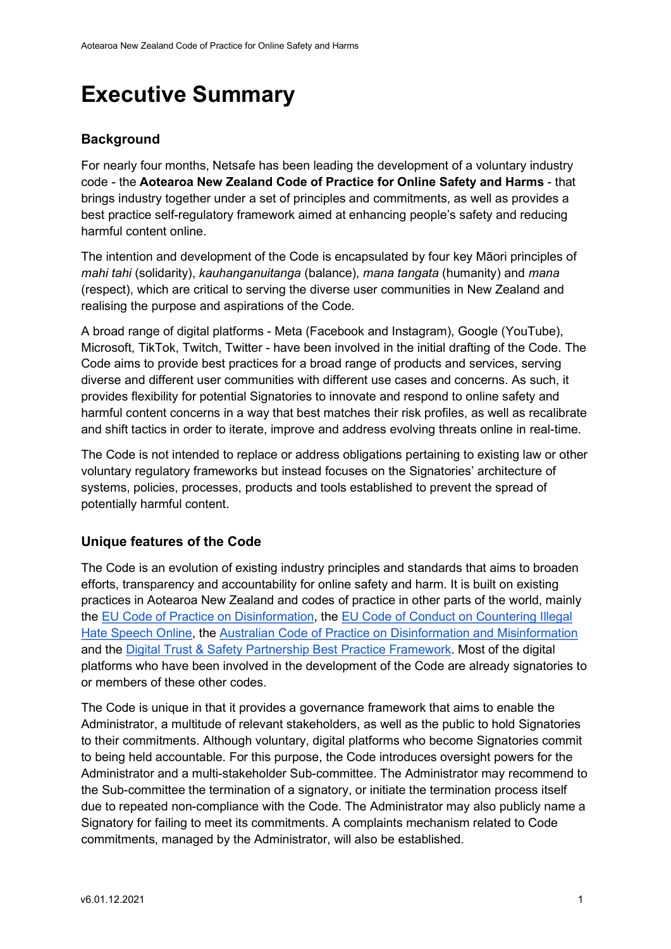# Executive Summary

## **Background**

For nearly four months, Netsafe has been leading the development of a voluntary industry code - the Aotearoa New Zealand Code of Practice for Online Safety and Harms - that brings industry together under a set of principles and commitments, as well as provides a best practice self-regulatory framework aimed at enhancing people's safety and reducing harmful content online.

The intention and development of the Code is encapsulated by four key Māori principles of mahi tahi (solidarity), kauhanganuitanga (balance), mana tangata (humanity) and mana (respect), which are critical to serving the diverse user communities in New Zealand and realising the purpose and aspirations of the Code.

A broad range of digital platforms - Meta (Facebook and Instagram), Google (YouTube), Microsoft, TikTok, Twitch, Twitter - have been involved in the initial drafting of the Code. The Code aims to provide best practices for a broad range of products and services, serving diverse and different user communities with different use cases and concerns. As such, it provides flexibility for potential Signatories to innovate and respond to online safety and harmful content concerns in a way that best matches their risk profiles, as well as recalibrate and shift tactics in order to iterate, improve and address evolving threats online in real-time.

The Code is not intended to replace or address obligations pertaining to existing law or other voluntary regulatory frameworks but instead focuses on the Signatories' architecture of systems, policies, processes, products and tools established to prevent the spread of potentially harmful content.

#### Unique features of the Code

The Code is an evolution of existing industry principles and standards that aims to broaden efforts, transparency and accountability for online safety and harm. It is built on existing practices in Aotearoa New Zealand and codes of practice in other parts of the world, mainly the EU Code of Practice on Disinformation, the EU Code of Conduct on Countering Illegal Hate Speech Online, the Australian Code of Practice on Disinformation and Misinformation and the Digital Trust & Safety Partnership Best Practice Framework. Most of the digital platforms who have been involved in the development of the Code are already signatories to or members of these other codes.

The Code is unique in that it provides a governance framework that aims to enable the Administrator, a multitude of relevant stakeholders, as well as the public to hold Signatories to their commitments. Although voluntary, digital platforms who become Signatories commit to being held accountable. For this purpose, the Code introduces oversight powers for the Administrator and a multi-stakeholder Sub-committee. The Administrator may recommend to the Sub-committee the termination of a signatory, or initiate the termination process itself due to repeated non-compliance with the Code. The Administrator may also publicly name a Signatory for failing to meet its commitments. A complaints mechanism related to Code commitments, managed by the Administrator, will also be established.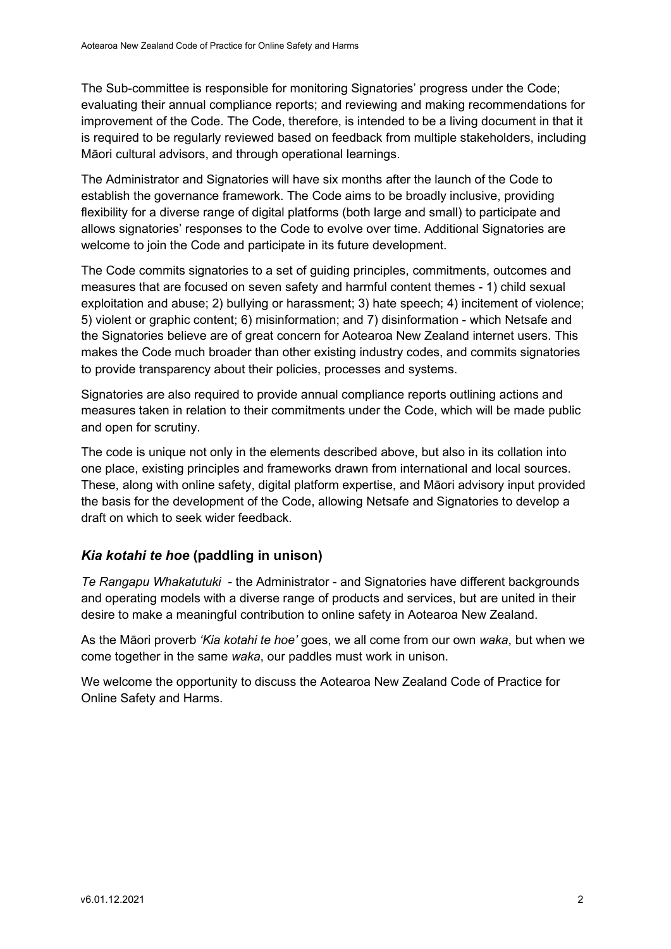The Sub-committee is responsible for monitoring Signatories' progress under the Code; evaluating their annual compliance reports; and reviewing and making recommendations for improvement of the Code. The Code, therefore, is intended to be a living document in that it is required to be regularly reviewed based on feedback from multiple stakeholders, including Māori cultural advisors, and through operational learnings.

The Administrator and Signatories will have six months after the launch of the Code to establish the governance framework. The Code aims to be broadly inclusive, providing flexibility for a diverse range of digital platforms (both large and small) to participate and allows signatories' responses to the Code to evolve over time. Additional Signatories are welcome to join the Code and participate in its future development.

The Code commits signatories to a set of guiding principles, commitments, outcomes and measures that are focused on seven safety and harmful content themes - 1) child sexual exploitation and abuse; 2) bullying or harassment; 3) hate speech; 4) incitement of violence; 5) violent or graphic content; 6) misinformation; and 7) disinformation - which Netsafe and the Signatories believe are of great concern for Aotearoa New Zealand internet users. This makes the Code much broader than other existing industry codes, and commits signatories to provide transparency about their policies, processes and systems.

Signatories are also required to provide annual compliance reports outlining actions and measures taken in relation to their commitments under the Code, which will be made public and open for scrutiny.

The code is unique not only in the elements described above, but also in its collation into one place, existing principles and frameworks drawn from international and local sources. These, along with online safety, digital platform expertise, and Māori advisory input provided the basis for the development of the Code, allowing Netsafe and Signatories to develop a draft on which to seek wider feedback.

#### Kia kotahi te hoe (paddling in unison)

Te Rangapu Whakatutuki - the Administrator - and Signatories have different backgrounds and operating models with a diverse range of products and services, but are united in their desire to make a meaningful contribution to online safety in Aotearoa New Zealand.

As the Māori proverb 'Kia kotahi te hoe' goes, we all come from our own waka, but when we come together in the same waka, our paddles must work in unison.

We welcome the opportunity to discuss the Aotearoa New Zealand Code of Practice for Online Safety and Harms.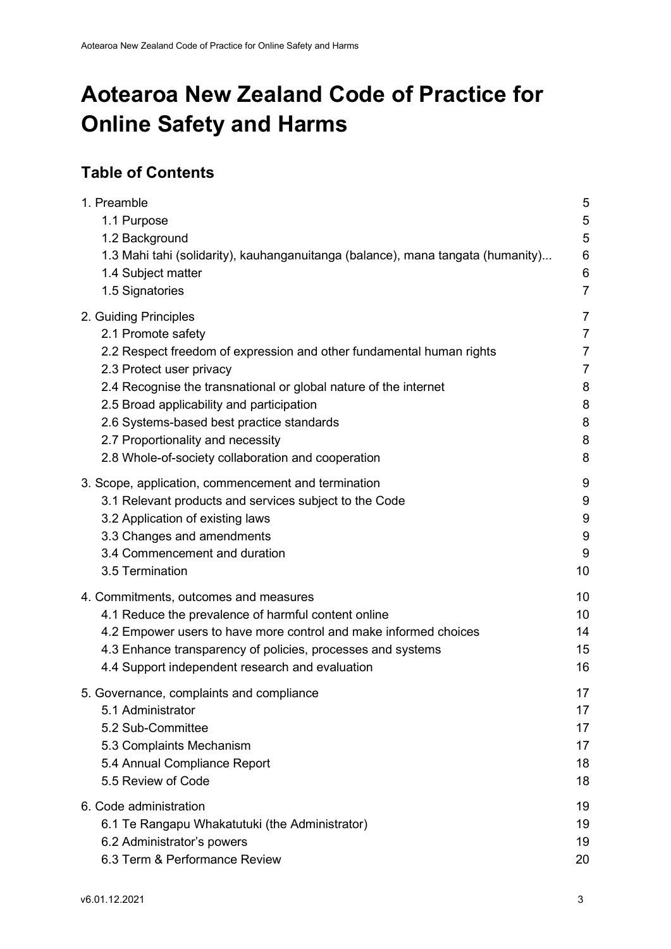# Aotearoa New Zealand Code of Practice for Online Safety and Harms

# Table of Contents

| 1. Preamble                                                                     | 5               |
|---------------------------------------------------------------------------------|-----------------|
| 1.1 Purpose                                                                     | 5               |
| 1.2 Background                                                                  | 5               |
| 1.3 Mahi tahi (solidarity), kauhanganuitanga (balance), mana tangata (humanity) | $\,6$           |
| 1.4 Subject matter                                                              | $6\phantom{1}6$ |
| 1.5 Signatories                                                                 | $\overline{7}$  |
| 2. Guiding Principles                                                           | $\overline{7}$  |
| 2.1 Promote safety                                                              | 7               |
| 2.2 Respect freedom of expression and other fundamental human rights            | $\overline{7}$  |
| 2.3 Protect user privacy                                                        | $\overline{7}$  |
| 2.4 Recognise the transnational or global nature of the internet                | 8               |
| 2.5 Broad applicability and participation                                       | 8               |
| 2.6 Systems-based best practice standards                                       | 8               |
| 2.7 Proportionality and necessity                                               | 8               |
| 2.8 Whole-of-society collaboration and cooperation                              | 8               |
| 3. Scope, application, commencement and termination                             | 9               |
| 3.1 Relevant products and services subject to the Code                          | 9               |
| 3.2 Application of existing laws                                                | 9               |
| 3.3 Changes and amendments                                                      | 9               |
| 3.4 Commencement and duration                                                   | 9               |
| 3.5 Termination                                                                 | 10              |
| 4. Commitments, outcomes and measures                                           | 10              |
| 4.1 Reduce the prevalence of harmful content online                             | 10              |
| 4.2 Empower users to have more control and make informed choices                | 14              |
| 4.3 Enhance transparency of policies, processes and systems                     | 15              |
| 4.4 Support independent research and evaluation                                 | 16              |
| 5. Governance, complaints and compliance                                        | 17              |
| 5.1 Administrator                                                               | 17              |
| 5.2 Sub-Committee                                                               | 17              |
| 5.3 Complaints Mechanism                                                        | 17              |
| 5.4 Annual Compliance Report                                                    | 18              |
| 5.5 Review of Code                                                              | 18              |
| 6. Code administration                                                          | 19              |
| 6.1 Te Rangapu Whakatutuki (the Administrator)                                  | 19              |
| 6.2 Administrator's powers                                                      | 19              |
| 6.3 Term & Performance Review                                                   | 20              |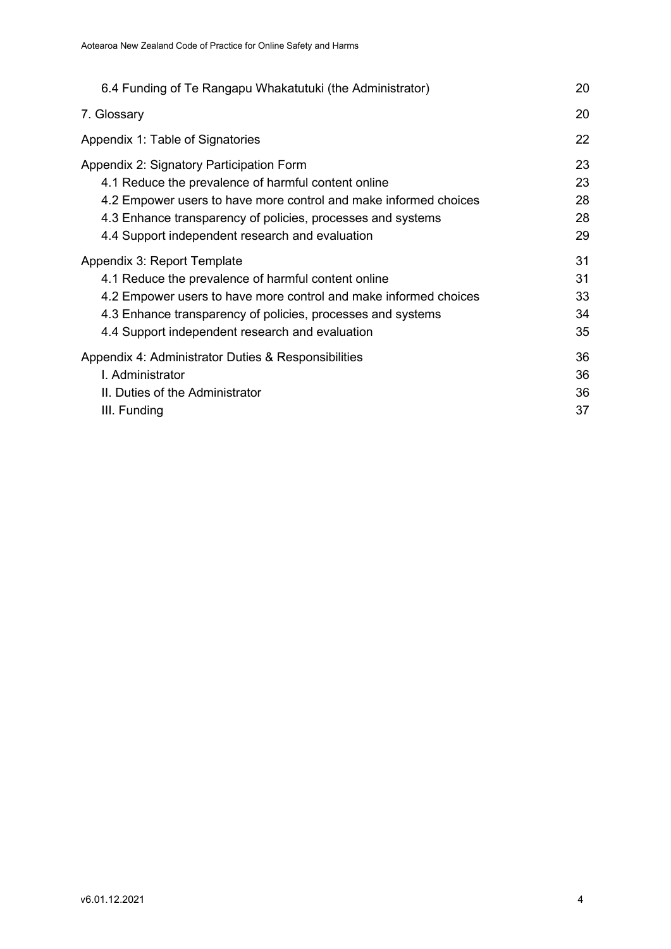| 6.4 Funding of Te Rangapu Whakatutuki (the Administrator)        | 20 |
|------------------------------------------------------------------|----|
| 7. Glossary                                                      | 20 |
| Appendix 1: Table of Signatories                                 | 22 |
| Appendix 2: Signatory Participation Form                         | 23 |
| 4.1 Reduce the prevalence of harmful content online              | 23 |
| 4.2 Empower users to have more control and make informed choices | 28 |
| 4.3 Enhance transparency of policies, processes and systems      | 28 |
| 4.4 Support independent research and evaluation                  | 29 |
| Appendix 3: Report Template                                      | 31 |
| 4.1 Reduce the prevalence of harmful content online              | 31 |
| 4.2 Empower users to have more control and make informed choices | 33 |
| 4.3 Enhance transparency of policies, processes and systems      | 34 |
| 4.4 Support independent research and evaluation                  | 35 |
| Appendix 4: Administrator Duties & Responsibilities              | 36 |
| L Administrator                                                  | 36 |
| II. Duties of the Administrator                                  | 36 |
| III. Funding                                                     | 37 |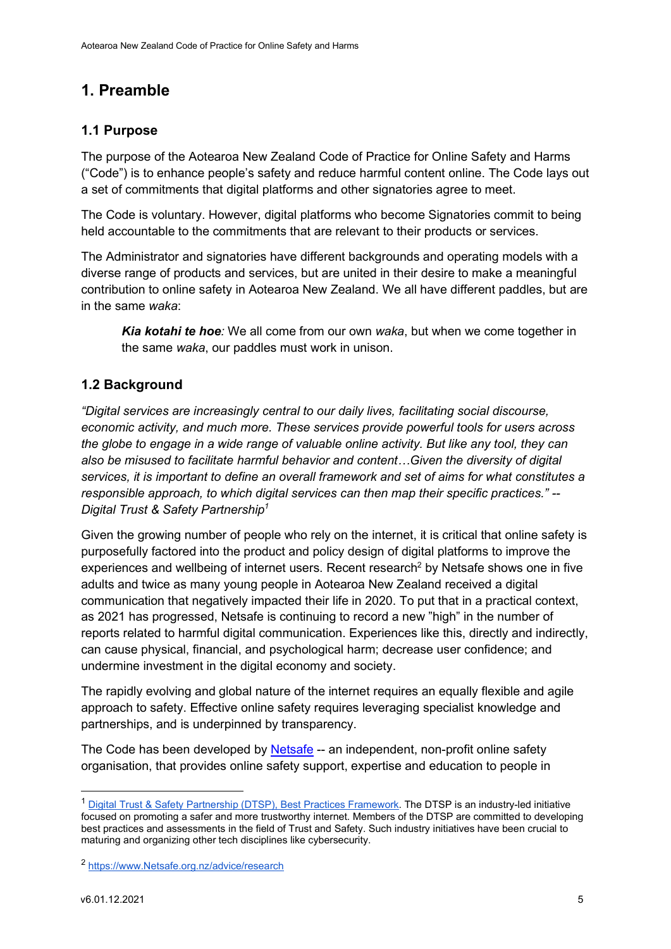# 1. Preamble

## 1.1 Purpose

The purpose of the Aotearoa New Zealand Code of Practice for Online Safety and Harms ("Code") is to enhance people's safety and reduce harmful content online. The Code lays out a set of commitments that digital platforms and other signatories agree to meet.

The Code is voluntary. However, digital platforms who become Signatories commit to being held accountable to the commitments that are relevant to their products or services.

The Administrator and signatories have different backgrounds and operating models with a diverse range of products and services, but are united in their desire to make a meaningful contribution to online safety in Aotearoa New Zealand. We all have different paddles, but are in the same waka:

Kia kotahi te hoe: We all come from our own waka, but when we come together in the same waka, our paddles must work in unison.

### 1.2 Background

"Digital services are increasingly central to our daily lives, facilitating social discourse, economic activity, and much more. These services provide powerful tools for users across the globe to engage in a wide range of valuable online activity. But like any tool, they can also be misused to facilitate harmful behavior and content…Given the diversity of digital services, it is important to define an overall framework and set of aims for what constitutes a responsible approach, to which digital services can then map their specific practices." -- Digital Trust & Safety Partnership<sup>1</sup>

Given the growing number of people who rely on the internet, it is critical that online safety is purposefully factored into the product and policy design of digital platforms to improve the experiences and wellbeing of internet users. Recent research<sup>2</sup> by Netsafe shows one in five adults and twice as many young people in Aotearoa New Zealand received a digital communication that negatively impacted their life in 2020. To put that in a practical context, as 2021 has progressed, Netsafe is continuing to record a new "high" in the number of reports related to harmful digital communication. Experiences like this, directly and indirectly, can cause physical, financial, and psychological harm; decrease user confidence; and undermine investment in the digital economy and society.

The rapidly evolving and global nature of the internet requires an equally flexible and agile approach to safety. Effective online safety requires leveraging specialist knowledge and partnerships, and is underpinned by transparency.

The Code has been developed by Netsafe -- an independent, non-profit online safety organisation, that provides online safety support, expertise and education to people in

<sup>&</sup>lt;sup>1</sup> Digital Trust & Safety Partnership (DTSP), Best Practices Framework. The DTSP is an industry-led initiative focused on promoting a safer and more trustworthy internet. Members of the DTSP are committed to developing best practices and assessments in the field of Trust and Safety. Such industry initiatives have been crucial to maturing and organizing other tech disciplines like cybersecurity.

<sup>2</sup> https://www.Netsafe.org.nz/advice/research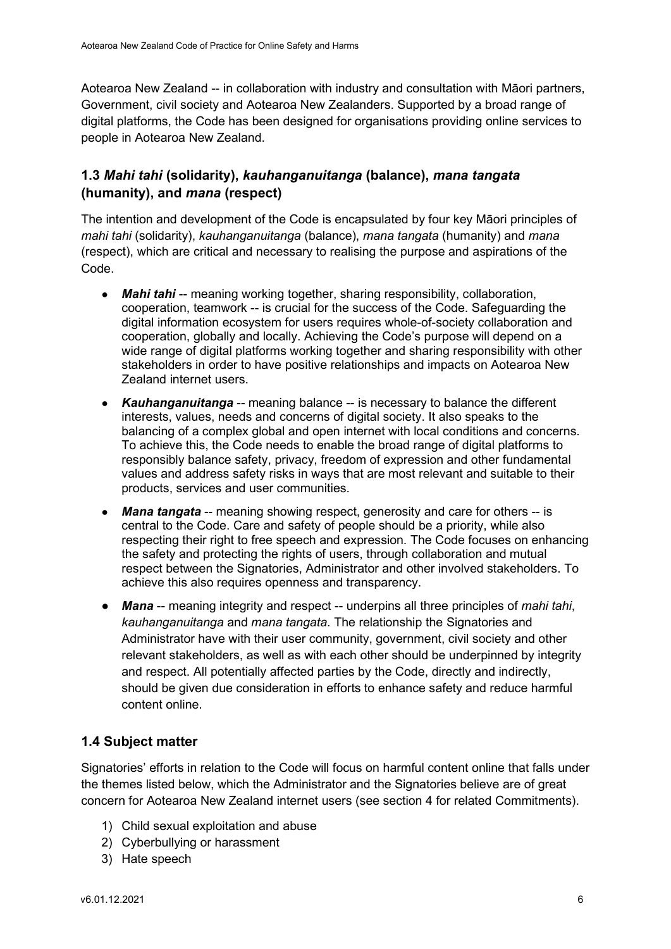Aotearoa New Zealand -- in collaboration with industry and consultation with Māori partners, Government, civil society and Aotearoa New Zealanders. Supported by a broad range of digital platforms, the Code has been designed for organisations providing online services to people in Aotearoa New Zealand.

# 1.3 Mahi tahi (solidarity), kauhanganuitanga (balance), mana tangata (humanity), and mana (respect)

The intention and development of the Code is encapsulated by four key Māori principles of mahi tahi (solidarity), kauhanganuitanga (balance), mana tangata (humanity) and mana (respect), which are critical and necessary to realising the purpose and aspirations of the Code.

- Mahi tahi -- meaning working together, sharing responsibility, collaboration, cooperation, teamwork -- is crucial for the success of the Code. Safeguarding the digital information ecosystem for users requires whole-of-society collaboration and cooperation, globally and locally. Achieving the Code's purpose will depend on a wide range of digital platforms working together and sharing responsibility with other stakeholders in order to have positive relationships and impacts on Aotearoa New Zealand internet users.
- Kauhanganuitanga -- meaning balance -- is necessary to balance the different interests, values, needs and concerns of digital society. It also speaks to the balancing of a complex global and open internet with local conditions and concerns. To achieve this, the Code needs to enable the broad range of digital platforms to responsibly balance safety, privacy, freedom of expression and other fundamental values and address safety risks in ways that are most relevant and suitable to their products, services and user communities.
- Mana tangata -- meaning showing respect, generosity and care for others -- is central to the Code. Care and safety of people should be a priority, while also respecting their right to free speech and expression. The Code focuses on enhancing the safety and protecting the rights of users, through collaboration and mutual respect between the Signatories, Administrator and other involved stakeholders. To achieve this also requires openness and transparency.
- Mana -- meaning integrity and respect -- underpins all three principles of mahi tahi, kauhanganuitanga and mana tangata. The relationship the Signatories and Administrator have with their user community, government, civil society and other relevant stakeholders, as well as with each other should be underpinned by integrity and respect. All potentially affected parties by the Code, directly and indirectly, should be given due consideration in efforts to enhance safety and reduce harmful content online.

# 1.4 Subject matter

Signatories' efforts in relation to the Code will focus on harmful content online that falls under the themes listed below, which the Administrator and the Signatories believe are of great concern for Aotearoa New Zealand internet users (see section 4 for related Commitments).

- 1) Child sexual exploitation and abuse
- 2) Cyberbullying or harassment
- 3) Hate speech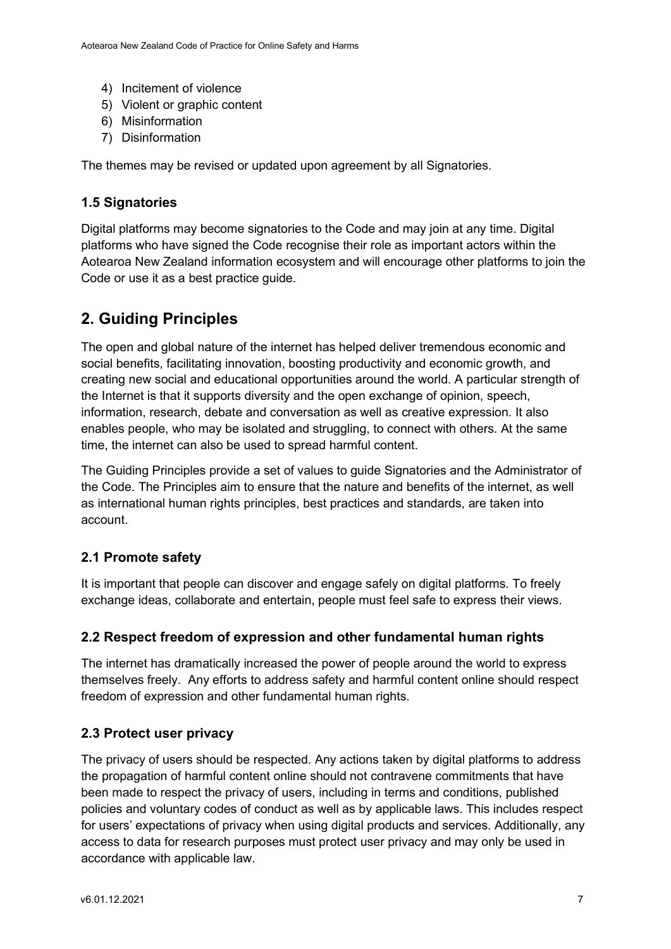- 4) Incitement of violence
- 5) Violent or graphic content
- 6) Misinformation
- 7) Disinformation

The themes may be revised or updated upon agreement by all Signatories.

# 1.5 Signatories

Digital platforms may become signatories to the Code and may join at any time. Digital platforms who have signed the Code recognise their role as important actors within the Aotearoa New Zealand information ecosystem and will encourage other platforms to join the Code or use it as a best practice guide.

# 2. Guiding Principles

The open and global nature of the internet has helped deliver tremendous economic and social benefits, facilitating innovation, boosting productivity and economic growth, and creating new social and educational opportunities around the world. A particular strength of the Internet is that it supports diversity and the open exchange of opinion, speech, information, research, debate and conversation as well as creative expression. It also enables people, who may be isolated and struggling, to connect with others. At the same time, the internet can also be used to spread harmful content.

The Guiding Principles provide a set of values to guide Signatories and the Administrator of the Code. The Principles aim to ensure that the nature and benefits of the internet, as well as international human rights principles, best practices and standards, are taken into account.

# 2.1 Promote safety

It is important that people can discover and engage safely on digital platforms. To freely exchange ideas, collaborate and entertain, people must feel safe to express their views.

# 2.2 Respect freedom of expression and other fundamental human rights

The internet has dramatically increased the power of people around the world to express themselves freely. Any efforts to address safety and harmful content online should respect freedom of expression and other fundamental human rights.

# 2.3 Protect user privacy

The privacy of users should be respected. Any actions taken by digital platforms to address the propagation of harmful content online should not contravene commitments that have been made to respect the privacy of users, including in terms and conditions, published policies and voluntary codes of conduct as well as by applicable laws. This includes respect for users' expectations of privacy when using digital products and services. Additionally, any access to data for research purposes must protect user privacy and may only be used in accordance with applicable law.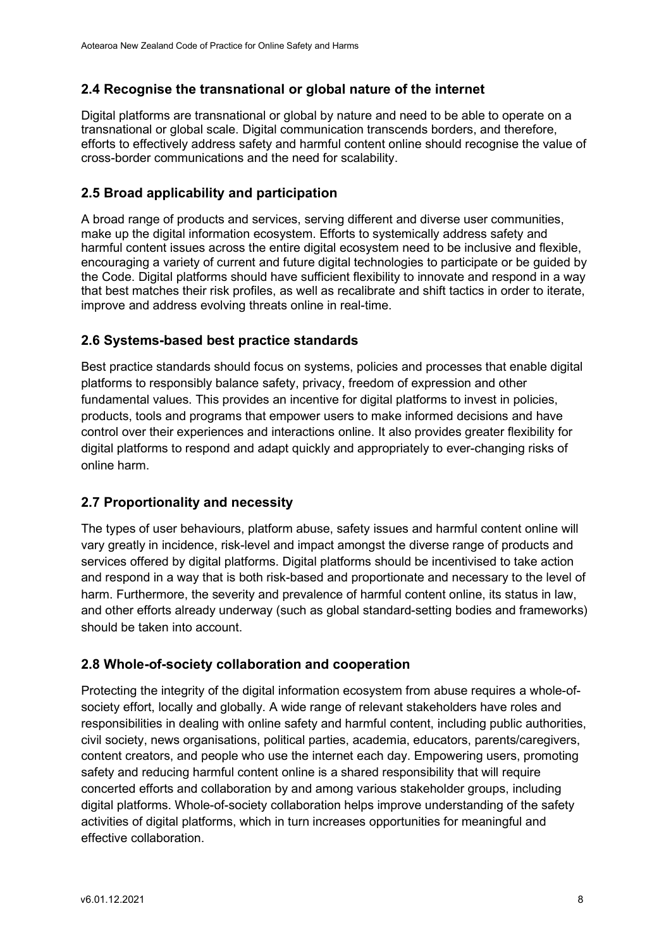# 2.4 Recognise the transnational or global nature of the internet

Digital platforms are transnational or global by nature and need to be able to operate on a transnational or global scale. Digital communication transcends borders, and therefore, efforts to effectively address safety and harmful content online should recognise the value of cross-border communications and the need for scalability.

# 2.5 Broad applicability and participation

A broad range of products and services, serving different and diverse user communities, make up the digital information ecosystem. Efforts to systemically address safety and harmful content issues across the entire digital ecosystem need to be inclusive and flexible, encouraging a variety of current and future digital technologies to participate or be guided by the Code. Digital platforms should have sufficient flexibility to innovate and respond in a way that best matches their risk profiles, as well as recalibrate and shift tactics in order to iterate, improve and address evolving threats online in real-time.

# 2.6 Systems-based best practice standards

Best practice standards should focus on systems, policies and processes that enable digital platforms to responsibly balance safety, privacy, freedom of expression and other fundamental values. This provides an incentive for digital platforms to invest in policies, products, tools and programs that empower users to make informed decisions and have control over their experiences and interactions online. It also provides greater flexibility for digital platforms to respond and adapt quickly and appropriately to ever-changing risks of online harm.

# 2.7 Proportionality and necessity

The types of user behaviours, platform abuse, safety issues and harmful content online will vary greatly in incidence, risk-level and impact amongst the diverse range of products and services offered by digital platforms. Digital platforms should be incentivised to take action and respond in a way that is both risk-based and proportionate and necessary to the level of harm. Furthermore, the severity and prevalence of harmful content online, its status in law, and other efforts already underway (such as global standard-setting bodies and frameworks) should be taken into account.

# 2.8 Whole-of-society collaboration and cooperation

Protecting the integrity of the digital information ecosystem from abuse requires a whole-ofsociety effort, locally and globally. A wide range of relevant stakeholders have roles and responsibilities in dealing with online safety and harmful content, including public authorities, civil society, news organisations, political parties, academia, educators, parents/caregivers, content creators, and people who use the internet each day. Empowering users, promoting safety and reducing harmful content online is a shared responsibility that will require concerted efforts and collaboration by and among various stakeholder groups, including digital platforms. Whole-of-society collaboration helps improve understanding of the safety activities of digital platforms, which in turn increases opportunities for meaningful and effective collaboration.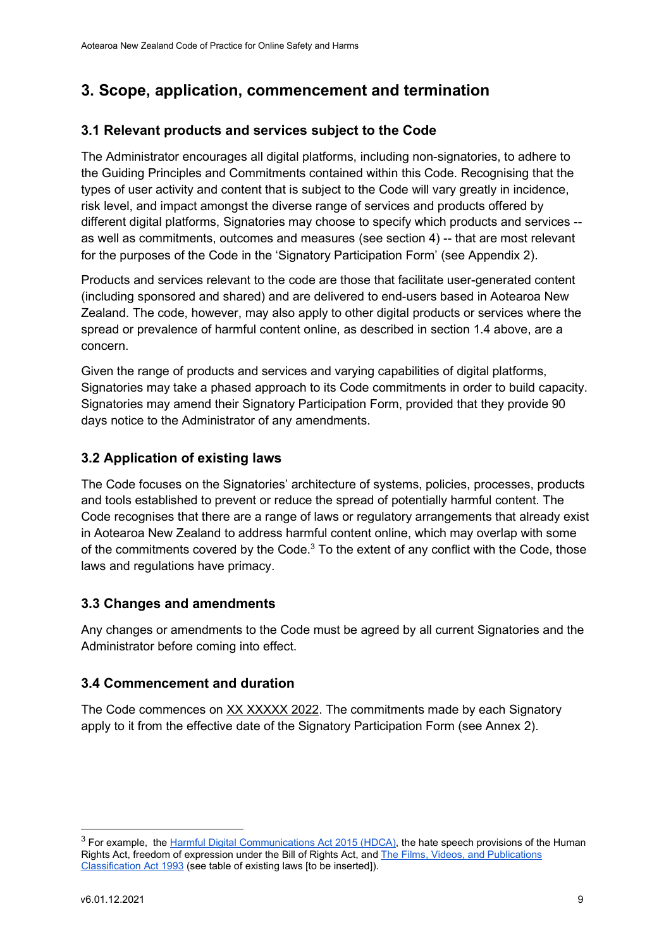# 3. Scope, application, commencement and termination

## 3.1 Relevant products and services subject to the Code

The Administrator encourages all digital platforms, including non-signatories, to adhere to the Guiding Principles and Commitments contained within this Code. Recognising that the types of user activity and content that is subject to the Code will vary greatly in incidence, risk level, and impact amongst the diverse range of services and products offered by different digital platforms, Signatories may choose to specify which products and services - as well as commitments, outcomes and measures (see section 4) -- that are most relevant for the purposes of the Code in the 'Signatory Participation Form' (see Appendix 2).

Products and services relevant to the code are those that facilitate user-generated content (including sponsored and shared) and are delivered to end-users based in Aotearoa New Zealand. The code, however, may also apply to other digital products or services where the spread or prevalence of harmful content online, as described in section 1.4 above, are a concern.

Given the range of products and services and varying capabilities of digital platforms, Signatories may take a phased approach to its Code commitments in order to build capacity. Signatories may amend their Signatory Participation Form, provided that they provide 90 days notice to the Administrator of any amendments.

### 3.2 Application of existing laws

The Code focuses on the Signatories' architecture of systems, policies, processes, products and tools established to prevent or reduce the spread of potentially harmful content. The Code recognises that there are a range of laws or regulatory arrangements that already exist in Aotearoa New Zealand to address harmful content online, which may overlap with some of the commitments covered by the Code. $3$  To the extent of any conflict with the Code, those laws and regulations have primacy.

#### 3.3 Changes and amendments

Any changes or amendments to the Code must be agreed by all current Signatories and the Administrator before coming into effect.

#### 3.4 Commencement and duration

The Code commences on XX XXXXX 2022. The commitments made by each Signatory apply to it from the effective date of the Signatory Participation Form (see Annex 2).

<sup>&</sup>lt;sup>3</sup> For example, the Harmful Digital Communications Act 2015 (HDCA), the hate speech provisions of the Human Rights Act, freedom of expression under the Bill of Rights Act, and The Films, Videos, and Publications Classification Act 1993 (see table of existing laws [to be inserted]).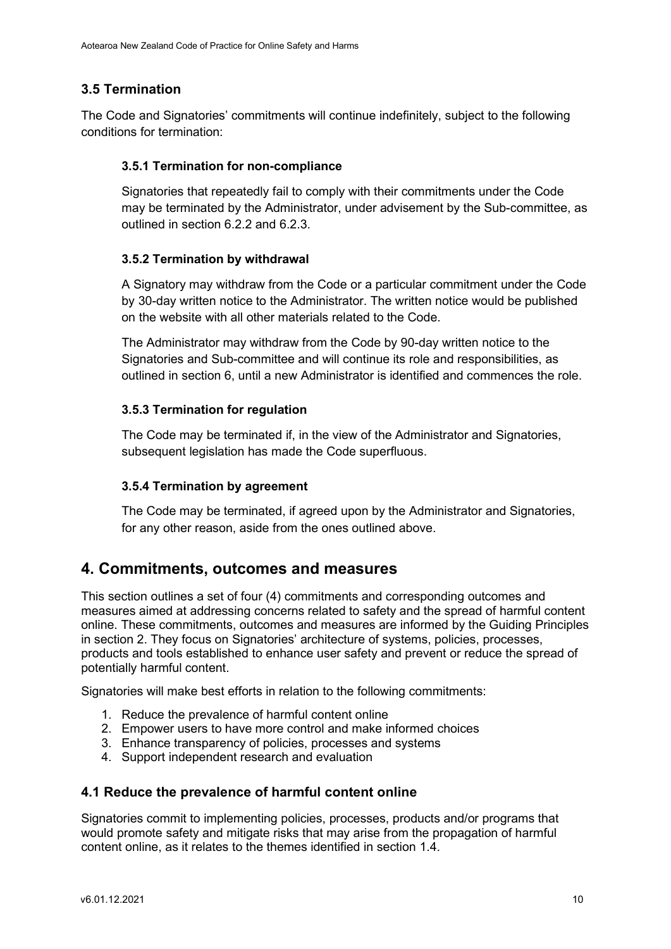# 3.5 Termination

The Code and Signatories' commitments will continue indefinitely, subject to the following conditions for termination:

#### 3.5.1 Termination for non-compliance

Signatories that repeatedly fail to comply with their commitments under the Code may be terminated by the Administrator, under advisement by the Sub-committee, as outlined in section 6.2.2 and 6.2.3.

#### 3.5.2 Termination by withdrawal

A Signatory may withdraw from the Code or a particular commitment under the Code by 30-day written notice to the Administrator. The written notice would be published on the website with all other materials related to the Code.

The Administrator may withdraw from the Code by 90-day written notice to the Signatories and Sub-committee and will continue its role and responsibilities, as outlined in section 6, until a new Administrator is identified and commences the role.

#### 3.5.3 Termination for regulation

The Code may be terminated if, in the view of the Administrator and Signatories, subsequent legislation has made the Code superfluous.

#### 3.5.4 Termination by agreement

The Code may be terminated, if agreed upon by the Administrator and Signatories, for any other reason, aside from the ones outlined above.

# 4. Commitments, outcomes and measures

This section outlines a set of four (4) commitments and corresponding outcomes and measures aimed at addressing concerns related to safety and the spread of harmful content online. These commitments, outcomes and measures are informed by the Guiding Principles in section 2. They focus on Signatories' architecture of systems, policies, processes, products and tools established to enhance user safety and prevent or reduce the spread of potentially harmful content.

Signatories will make best efforts in relation to the following commitments:

- 1. Reduce the prevalence of harmful content online
- 2. Empower users to have more control and make informed choices
- 3. Enhance transparency of policies, processes and systems
- 4. Support independent research and evaluation

#### 4.1 Reduce the prevalence of harmful content online

Signatories commit to implementing policies, processes, products and/or programs that would promote safety and mitigate risks that may arise from the propagation of harmful content online, as it relates to the themes identified in section 1.4.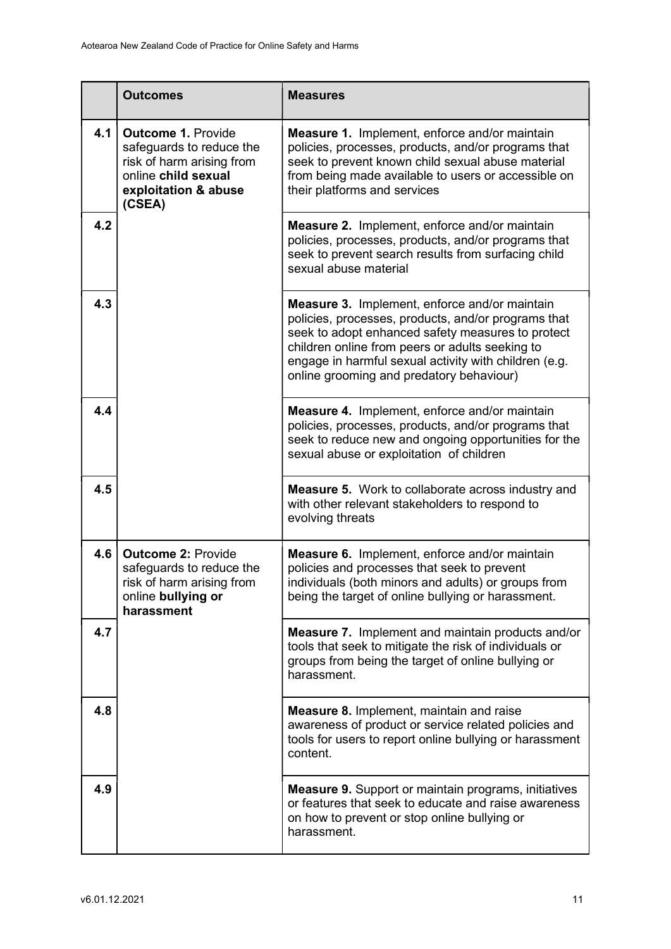|     | <b>Outcomes</b>                                                                                                                             | <b>Measures</b>                                                                                                                                                                                                                                                                                                          |
|-----|---------------------------------------------------------------------------------------------------------------------------------------------|--------------------------------------------------------------------------------------------------------------------------------------------------------------------------------------------------------------------------------------------------------------------------------------------------------------------------|
| 4.1 | <b>Outcome 1. Provide</b><br>safeguards to reduce the<br>risk of harm arising from<br>online child sexual<br>exploitation & abuse<br>(CSEA) | Measure 1. Implement, enforce and/or maintain<br>policies, processes, products, and/or programs that<br>seek to prevent known child sexual abuse material<br>from being made available to users or accessible on<br>their platforms and services                                                                         |
| 4.2 |                                                                                                                                             | <b>Measure 2.</b> Implement, enforce and/or maintain<br>policies, processes, products, and/or programs that<br>seek to prevent search results from surfacing child<br>sexual abuse material                                                                                                                              |
| 4.3 |                                                                                                                                             | <b>Measure 3.</b> Implement, enforce and/or maintain<br>policies, processes, products, and/or programs that<br>seek to adopt enhanced safety measures to protect<br>children online from peers or adults seeking to<br>engage in harmful sexual activity with children (e.g.<br>online grooming and predatory behaviour) |
| 4.4 |                                                                                                                                             | <b>Measure 4.</b> Implement, enforce and/or maintain<br>policies, processes, products, and/or programs that<br>seek to reduce new and ongoing opportunities for the<br>sexual abuse or exploitation of children                                                                                                          |
| 4.5 |                                                                                                                                             | <b>Measure 5.</b> Work to collaborate across industry and<br>with other relevant stakeholders to respond to<br>evolving threats                                                                                                                                                                                          |
| 4.6 | <b>Outcome 2: Provide</b><br>safeguards to reduce the<br>risk of harm arising from<br>online bullying or<br>harassment                      | <b>Measure 6.</b> Implement, enforce and/or maintain<br>policies and processes that seek to prevent<br>individuals (both minors and adults) or groups from<br>being the target of online bullying or harassment.                                                                                                         |
| 4.7 |                                                                                                                                             | <b>Measure 7.</b> Implement and maintain products and/or<br>tools that seek to mitigate the risk of individuals or<br>groups from being the target of online bullying or<br>harassment.                                                                                                                                  |
| 4.8 |                                                                                                                                             | <b>Measure 8. Implement, maintain and raise</b><br>awareness of product or service related policies and<br>tools for users to report online bullying or harassment<br>content.                                                                                                                                           |
| 4.9 |                                                                                                                                             | Measure 9. Support or maintain programs, initiatives<br>or features that seek to educate and raise awareness<br>on how to prevent or stop online bullying or<br>harassment.                                                                                                                                              |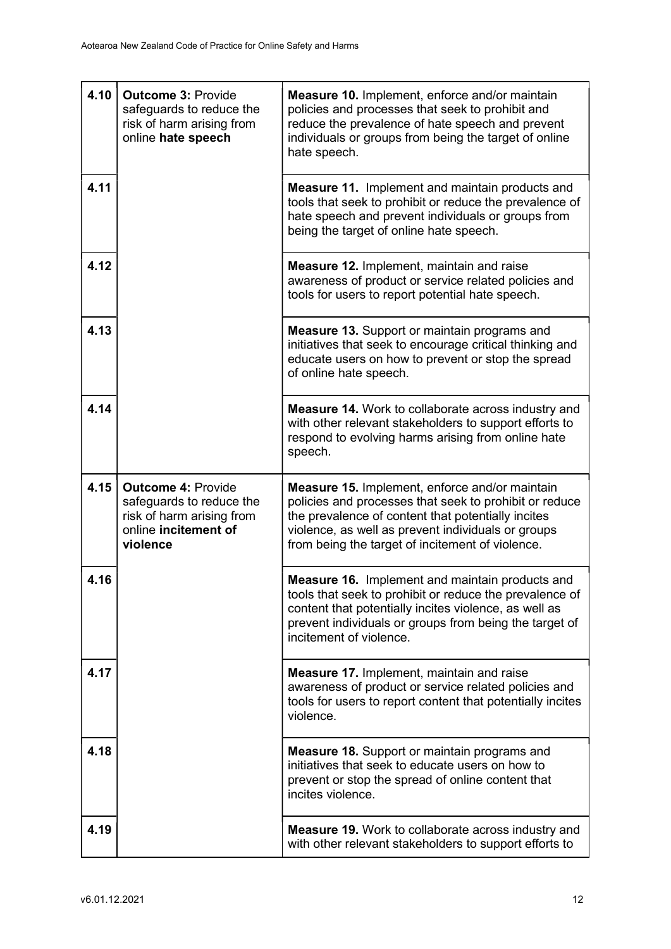| 4.10 | <b>Outcome 3: Provide</b><br>safeguards to reduce the<br>risk of harm arising from<br>online hate speech               | <b>Measure 10.</b> Implement, enforce and/or maintain<br>policies and processes that seek to prohibit and<br>reduce the prevalence of hate speech and prevent<br>individuals or groups from being the target of online<br>hate speech.                                          |
|------|------------------------------------------------------------------------------------------------------------------------|---------------------------------------------------------------------------------------------------------------------------------------------------------------------------------------------------------------------------------------------------------------------------------|
| 4.11 |                                                                                                                        | <b>Measure 11.</b> Implement and maintain products and<br>tools that seek to prohibit or reduce the prevalence of<br>hate speech and prevent individuals or groups from<br>being the target of online hate speech.                                                              |
| 4.12 |                                                                                                                        | <b>Measure 12. Implement, maintain and raise</b><br>awareness of product or service related policies and<br>tools for users to report potential hate speech.                                                                                                                    |
| 4.13 |                                                                                                                        | <b>Measure 13.</b> Support or maintain programs and<br>initiatives that seek to encourage critical thinking and<br>educate users on how to prevent or stop the spread<br>of online hate speech.                                                                                 |
| 4.14 |                                                                                                                        | <b>Measure 14.</b> Work to collaborate across industry and<br>with other relevant stakeholders to support efforts to<br>respond to evolving harms arising from online hate<br>speech.                                                                                           |
| 4.15 | <b>Outcome 4: Provide</b><br>safeguards to reduce the<br>risk of harm arising from<br>online incitement of<br>violence | <b>Measure 15. Implement, enforce and/or maintain</b><br>policies and processes that seek to prohibit or reduce<br>the prevalence of content that potentially incites<br>violence, as well as prevent individuals or groups<br>from being the target of incitement of violence. |
| 4.16 |                                                                                                                        | <b>Measure 16.</b> Implement and maintain products and<br>tools that seek to prohibit or reduce the prevalence of<br>content that potentially incites violence, as well as<br>prevent individuals or groups from being the target of<br>incitement of violence.                 |
| 4.17 |                                                                                                                        | <b>Measure 17. Implement, maintain and raise</b><br>awareness of product or service related policies and<br>tools for users to report content that potentially incites<br>violence.                                                                                             |
| 4.18 |                                                                                                                        | <b>Measure 18.</b> Support or maintain programs and<br>initiatives that seek to educate users on how to<br>prevent or stop the spread of online content that<br>incites violence.                                                                                               |
| 4.19 |                                                                                                                        | Measure 19. Work to collaborate across industry and<br>with other relevant stakeholders to support efforts to                                                                                                                                                                   |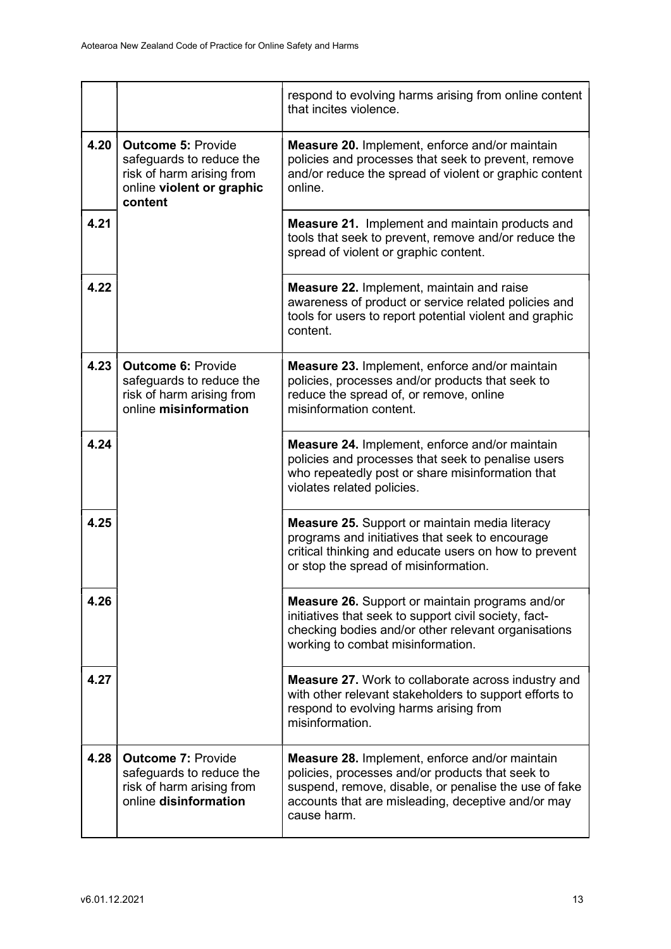|      |                                                                                                                            | respond to evolving harms arising from online content<br>that incites violence.                                                                                                                                                         |
|------|----------------------------------------------------------------------------------------------------------------------------|-----------------------------------------------------------------------------------------------------------------------------------------------------------------------------------------------------------------------------------------|
| 4.20 | <b>Outcome 5: Provide</b><br>safeguards to reduce the<br>risk of harm arising from<br>online violent or graphic<br>content | Measure 20. Implement, enforce and/or maintain<br>policies and processes that seek to prevent, remove<br>and/or reduce the spread of violent or graphic content<br>online.                                                              |
| 4.21 |                                                                                                                            | <b>Measure 21.</b> Implement and maintain products and<br>tools that seek to prevent, remove and/or reduce the<br>spread of violent or graphic content.                                                                                 |
| 4.22 |                                                                                                                            | <b>Measure 22. Implement, maintain and raise</b><br>awareness of product or service related policies and<br>tools for users to report potential violent and graphic<br>content.                                                         |
| 4.23 | <b>Outcome 6: Provide</b><br>safeguards to reduce the<br>risk of harm arising from<br>online misinformation                | <b>Measure 23. Implement, enforce and/or maintain</b><br>policies, processes and/or products that seek to<br>reduce the spread of, or remove, online<br>misinformation content.                                                         |
| 4.24 |                                                                                                                            | <b>Measure 24. Implement, enforce and/or maintain</b><br>policies and processes that seek to penalise users<br>who repeatedly post or share misinformation that<br>violates related policies.                                           |
| 4.25 |                                                                                                                            | <b>Measure 25.</b> Support or maintain media literacy<br>programs and initiatives that seek to encourage<br>critical thinking and educate users on how to prevent<br>or stop the spread of misinformation.                              |
| 4.26 |                                                                                                                            | <b>Measure 26.</b> Support or maintain programs and/or<br>initiatives that seek to support civil society, fact-<br>checking bodies and/or other relevant organisations<br>working to combat misinformation.                             |
| 4.27 |                                                                                                                            | <b>Measure 27.</b> Work to collaborate across industry and<br>with other relevant stakeholders to support efforts to<br>respond to evolving harms arising from<br>misinformation.                                                       |
| 4.28 | <b>Outcome 7: Provide</b><br>safeguards to reduce the<br>risk of harm arising from<br>online disinformation                | <b>Measure 28. Implement, enforce and/or maintain</b><br>policies, processes and/or products that seek to<br>suspend, remove, disable, or penalise the use of fake<br>accounts that are misleading, deceptive and/or may<br>cause harm. |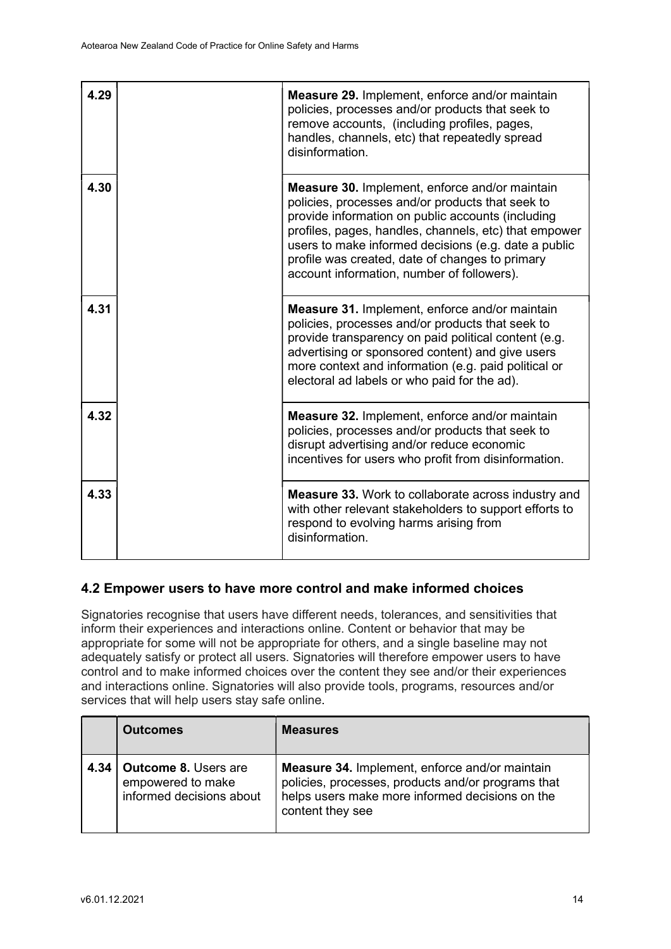| 4.29 | <b>Measure 29. Implement, enforce and/or maintain</b><br>policies, processes and/or products that seek to<br>remove accounts, (including profiles, pages,<br>handles, channels, etc) that repeatedly spread<br>disinformation.                                                                                                                                                   |
|------|----------------------------------------------------------------------------------------------------------------------------------------------------------------------------------------------------------------------------------------------------------------------------------------------------------------------------------------------------------------------------------|
| 4.30 | <b>Measure 30.</b> Implement, enforce and/or maintain<br>policies, processes and/or products that seek to<br>provide information on public accounts (including<br>profiles, pages, handles, channels, etc) that empower<br>users to make informed decisions (e.g. date a public<br>profile was created, date of changes to primary<br>account information, number of followers). |
| 4.31 | <b>Measure 31. Implement, enforce and/or maintain</b><br>policies, processes and/or products that seek to<br>provide transparency on paid political content (e.g.<br>advertising or sponsored content) and give users<br>more context and information (e.g. paid political or<br>electoral ad labels or who paid for the ad).                                                    |
| 4.32 | <b>Measure 32. Implement, enforce and/or maintain</b><br>policies, processes and/or products that seek to<br>disrupt advertising and/or reduce economic<br>incentives for users who profit from disinformation.                                                                                                                                                                  |
| 4.33 | <b>Measure 33.</b> Work to collaborate across industry and<br>with other relevant stakeholders to support efforts to<br>respond to evolving harms arising from<br>disinformation.                                                                                                                                                                                                |

# 4.2 Empower users to have more control and make informed choices

Signatories recognise that users have different needs, tolerances, and sensitivities that inform their experiences and interactions online. Content or behavior that may be appropriate for some will not be appropriate for others, and a single baseline may not adequately satisfy or protect all users. Signatories will therefore empower users to have control and to make informed choices over the content they see and/or their experiences and interactions online. Signatories will also provide tools, programs, resources and/or services that will help users stay safe online.

|      | <b>Outcomes</b>                                                              | <b>Measures</b>                                                                                                                                                                    |
|------|------------------------------------------------------------------------------|------------------------------------------------------------------------------------------------------------------------------------------------------------------------------------|
| 4.34 | <b>Outcome 8. Users are</b><br>empowered to make<br>informed decisions about | <b>Measure 34.</b> Implement, enforce and/or maintain<br>policies, processes, products and/or programs that<br>helps users make more informed decisions on the<br>content they see |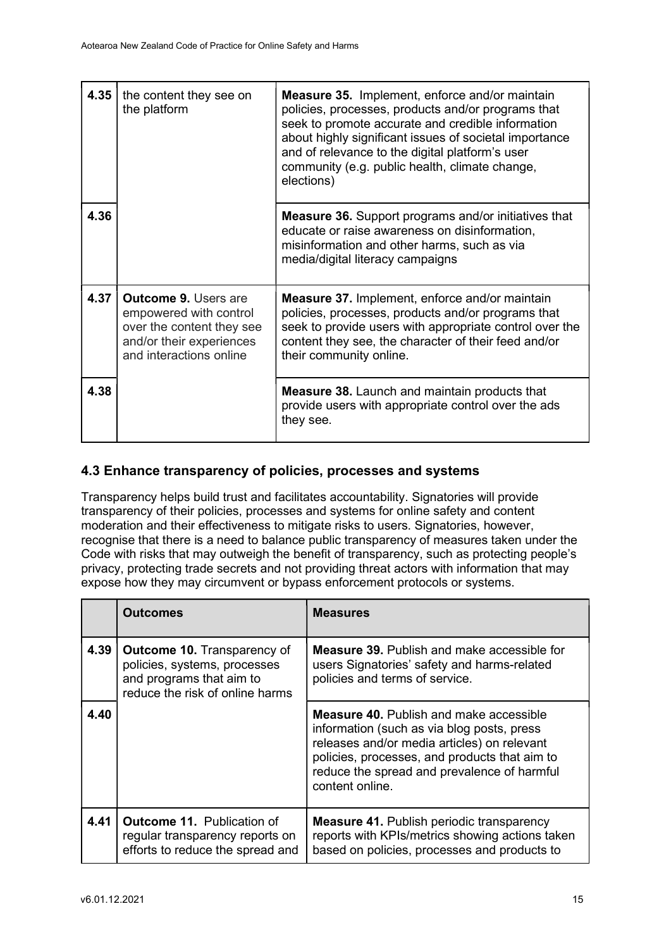| 4.35 | the content they see on<br>the platform                                                                                                   | <b>Measure 35.</b> Implement, enforce and/or maintain<br>policies, processes, products and/or programs that<br>seek to promote accurate and credible information<br>about highly significant issues of societal importance<br>and of relevance to the digital platform's user<br>community (e.g. public health, climate change,<br>elections) |
|------|-------------------------------------------------------------------------------------------------------------------------------------------|-----------------------------------------------------------------------------------------------------------------------------------------------------------------------------------------------------------------------------------------------------------------------------------------------------------------------------------------------|
| 4.36 |                                                                                                                                           | <b>Measure 36.</b> Support programs and/or initiatives that<br>educate or raise awareness on disinformation,<br>misinformation and other harms, such as via<br>media/digital literacy campaigns                                                                                                                                               |
| 4.37 | <b>Outcome 9. Users are</b><br>empowered with control<br>over the content they see<br>and/or their experiences<br>and interactions online | <b>Measure 37.</b> Implement, enforce and/or maintain<br>policies, processes, products and/or programs that<br>seek to provide users with appropriate control over the<br>content they see, the character of their feed and/or<br>their community online.                                                                                     |
| 4.38 |                                                                                                                                           | <b>Measure 38.</b> Launch and maintain products that<br>provide users with appropriate control over the ads<br>they see.                                                                                                                                                                                                                      |

#### 4.3 Enhance transparency of policies, processes and systems

Transparency helps build trust and facilitates accountability. Signatories will provide transparency of their policies, processes and systems for online safety and content moderation and their effectiveness to mitigate risks to users. Signatories, however, recognise that there is a need to balance public transparency of measures taken under the Code with risks that may outweigh the benefit of transparency, such as protecting people's privacy, protecting trade secrets and not providing threat actors with information that may expose how they may circumvent or bypass enforcement protocols or systems.

|      | <b>Outcomes</b>                                                                                                                   | <b>Measures</b>                                                                                                                                                                                                                                                |
|------|-----------------------------------------------------------------------------------------------------------------------------------|----------------------------------------------------------------------------------------------------------------------------------------------------------------------------------------------------------------------------------------------------------------|
| 4.39 | <b>Outcome 10. Transparency of</b><br>policies, systems, processes<br>and programs that aim to<br>reduce the risk of online harms | <b>Measure 39.</b> Publish and make accessible for<br>users Signatories' safety and harms-related<br>policies and terms of service.                                                                                                                            |
| 4.40 |                                                                                                                                   | <b>Measure 40.</b> Publish and make accessible<br>information (such as via blog posts, press<br>releases and/or media articles) on relevant<br>policies, processes, and products that aim to<br>reduce the spread and prevalence of harmful<br>content online. |
| 4.41 | <b>Outcome 11. Publication of</b><br>regular transparency reports on<br>efforts to reduce the spread and                          | <b>Measure 41.</b> Publish periodic transparency<br>reports with KPIs/metrics showing actions taken<br>based on policies, processes and products to                                                                                                            |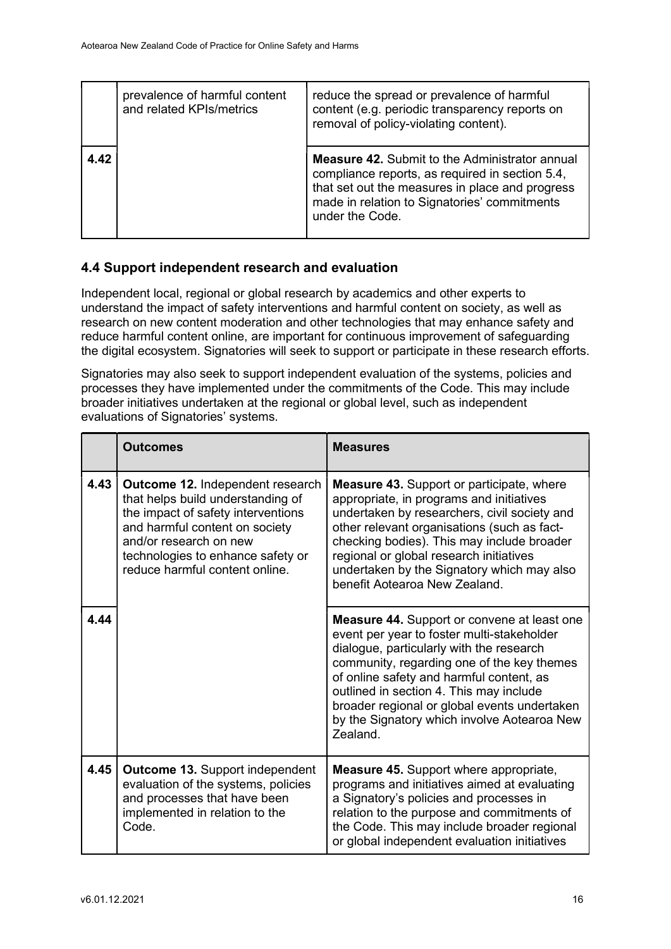|      | prevalence of harmful content<br>and related KPIs/metrics | reduce the spread or prevalence of harmful<br>content (e.g. periodic transparency reports on<br>removal of policy-violating content).                                                                                          |
|------|-----------------------------------------------------------|--------------------------------------------------------------------------------------------------------------------------------------------------------------------------------------------------------------------------------|
| 4.42 |                                                           | <b>Measure 42.</b> Submit to the Administrator annual<br>compliance reports, as required in section 5.4,<br>that set out the measures in place and progress<br>made in relation to Signatories' commitments<br>under the Code. |

#### 4.4 Support independent research and evaluation

Independent local, regional or global research by academics and other experts to understand the impact of safety interventions and harmful content on society, as well as research on new content moderation and other technologies that may enhance safety and reduce harmful content online, are important for continuous improvement of safeguarding the digital ecosystem. Signatories will seek to support or participate in these research efforts.

Signatories may also seek to support independent evaluation of the systems, policies and processes they have implemented under the commitments of the Code. This may include broader initiatives undertaken at the regional or global level, such as independent evaluations of Signatories' systems.

|      | <b>Outcomes</b>                                                                                                                                                                                                                                       | <b>Measures</b>                                                                                                                                                                                                                                                                                                                                                                              |
|------|-------------------------------------------------------------------------------------------------------------------------------------------------------------------------------------------------------------------------------------------------------|----------------------------------------------------------------------------------------------------------------------------------------------------------------------------------------------------------------------------------------------------------------------------------------------------------------------------------------------------------------------------------------------|
| 4.43 | <b>Outcome 12. Independent research</b><br>that helps build understanding of<br>the impact of safety interventions<br>and harmful content on society<br>and/or research on new<br>technologies to enhance safety or<br>reduce harmful content online. | <b>Measure 43.</b> Support or participate, where<br>appropriate, in programs and initiatives<br>undertaken by researchers, civil society and<br>other relevant organisations (such as fact-<br>checking bodies). This may include broader<br>regional or global research initiatives<br>undertaken by the Signatory which may also<br>benefit Aotearoa New Zealand.                          |
| 4.44 |                                                                                                                                                                                                                                                       | <b>Measure 44.</b> Support or convene at least one<br>event per year to foster multi-stakeholder<br>dialogue, particularly with the research<br>community, regarding one of the key themes<br>of online safety and harmful content, as<br>outlined in section 4. This may include<br>broader regional or global events undertaken<br>by the Signatory which involve Aotearoa New<br>Zealand. |
| 4.45 | <b>Outcome 13. Support independent</b><br>evaluation of the systems, policies<br>and processes that have been<br>implemented in relation to the<br>Code.                                                                                              | <b>Measure 45.</b> Support where appropriate,<br>programs and initiatives aimed at evaluating<br>a Signatory's policies and processes in<br>relation to the purpose and commitments of<br>the Code. This may include broader regional<br>or global independent evaluation initiatives                                                                                                        |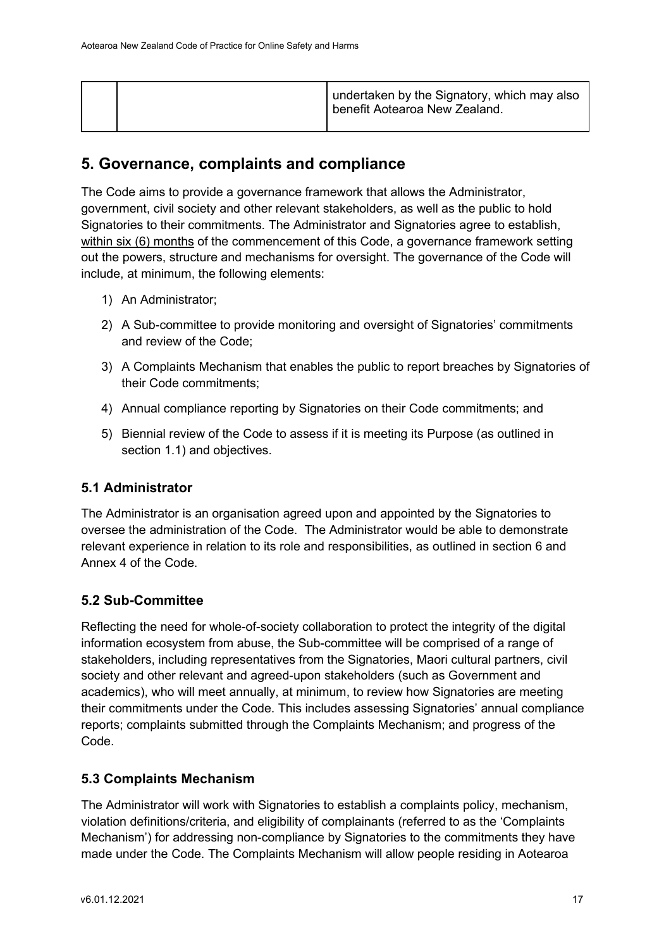|  | undertaken by the Signatory, which may also<br>I benefit Aotearoa New Zealand. |
|--|--------------------------------------------------------------------------------|
|--|--------------------------------------------------------------------------------|

# 5. Governance, complaints and compliance

The Code aims to provide a governance framework that allows the Administrator, government, civil society and other relevant stakeholders, as well as the public to hold Signatories to their commitments. The Administrator and Signatories agree to establish, within six (6) months of the commencement of this Code, a governance framework setting out the powers, structure and mechanisms for oversight. The governance of the Code will include, at minimum, the following elements:

- 1) An Administrator;
- 2) A Sub-committee to provide monitoring and oversight of Signatories' commitments and review of the Code;
- 3) A Complaints Mechanism that enables the public to report breaches by Signatories of their Code commitments;
- 4) Annual compliance reporting by Signatories on their Code commitments; and
- 5) Biennial review of the Code to assess if it is meeting its Purpose (as outlined in section 1.1) and objectives.

#### 5.1 Administrator

The Administrator is an organisation agreed upon and appointed by the Signatories to oversee the administration of the Code. The Administrator would be able to demonstrate relevant experience in relation to its role and responsibilities, as outlined in section 6 and Annex 4 of the Code.

# 5.2 Sub-Committee

Reflecting the need for whole-of-society collaboration to protect the integrity of the digital information ecosystem from abuse, the Sub-committee will be comprised of a range of stakeholders, including representatives from the Signatories, Maori cultural partners, civil society and other relevant and agreed-upon stakeholders (such as Government and academics), who will meet annually, at minimum, to review how Signatories are meeting their commitments under the Code. This includes assessing Signatories' annual compliance reports; complaints submitted through the Complaints Mechanism; and progress of the Code.

# 5.3 Complaints Mechanism

The Administrator will work with Signatories to establish a complaints policy, mechanism, violation definitions/criteria, and eligibility of complainants (referred to as the 'Complaints Mechanism') for addressing non-compliance by Signatories to the commitments they have made under the Code. The Complaints Mechanism will allow people residing in Aotearoa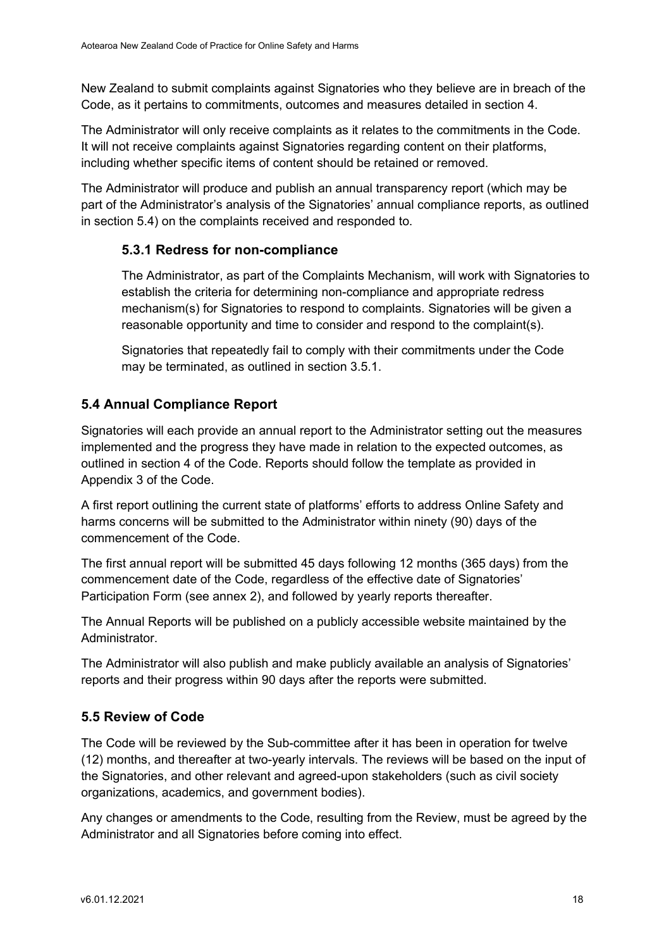New Zealand to submit complaints against Signatories who they believe are in breach of the Code, as it pertains to commitments, outcomes and measures detailed in section 4.

The Administrator will only receive complaints as it relates to the commitments in the Code. It will not receive complaints against Signatories regarding content on their platforms, including whether specific items of content should be retained or removed.

The Administrator will produce and publish an annual transparency report (which may be part of the Administrator's analysis of the Signatories' annual compliance reports, as outlined in section 5.4) on the complaints received and responded to.

### 5.3.1 Redress for non-compliance

The Administrator, as part of the Complaints Mechanism, will work with Signatories to establish the criteria for determining non-compliance and appropriate redress mechanism(s) for Signatories to respond to complaints. Signatories will be given a reasonable opportunity and time to consider and respond to the complaint(s).

Signatories that repeatedly fail to comply with their commitments under the Code may be terminated, as outlined in section 3.5.1.

# 5.4 Annual Compliance Report

Signatories will each provide an annual report to the Administrator setting out the measures implemented and the progress they have made in relation to the expected outcomes, as outlined in section 4 of the Code. Reports should follow the template as provided in Appendix 3 of the Code.

A first report outlining the current state of platforms' efforts to address Online Safety and harms concerns will be submitted to the Administrator within ninety (90) days of the commencement of the Code.

The first annual report will be submitted 45 days following 12 months (365 days) from the commencement date of the Code, regardless of the effective date of Signatories' Participation Form (see annex 2), and followed by yearly reports thereafter.

The Annual Reports will be published on a publicly accessible website maintained by the Administrator.

The Administrator will also publish and make publicly available an analysis of Signatories' reports and their progress within 90 days after the reports were submitted.

# 5.5 Review of Code

The Code will be reviewed by the Sub-committee after it has been in operation for twelve (12) months, and thereafter at two-yearly intervals. The reviews will be based on the input of the Signatories, and other relevant and agreed-upon stakeholders (such as civil society organizations, academics, and government bodies).

Any changes or amendments to the Code, resulting from the Review, must be agreed by the Administrator and all Signatories before coming into effect.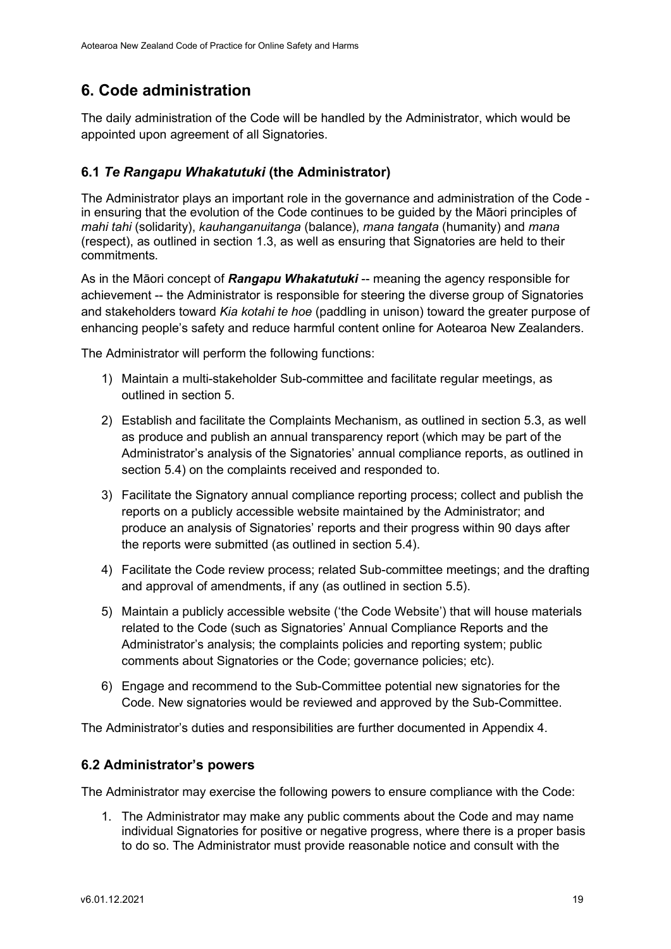# 6. Code administration

The daily administration of the Code will be handled by the Administrator, which would be appointed upon agreement of all Signatories.

## 6.1 Te Rangapu Whakatutuki (the Administrator)

The Administrator plays an important role in the governance and administration of the Code in ensuring that the evolution of the Code continues to be guided by the Māori principles of mahi tahi (solidarity), kauhanganuitanga (balance), mana tangata (humanity) and mana (respect), as outlined in section 1.3, as well as ensuring that Signatories are held to their commitments.

As in the Māori concept of Rangapu Whakatutuki -- meaning the agency responsible for achievement -- the Administrator is responsible for steering the diverse group of Signatories and stakeholders toward Kia kotahi te hoe (paddling in unison) toward the greater purpose of enhancing people's safety and reduce harmful content online for Aotearoa New Zealanders.

The Administrator will perform the following functions:

- 1) Maintain a multi-stakeholder Sub-committee and facilitate regular meetings, as outlined in section 5.
- 2) Establish and facilitate the Complaints Mechanism, as outlined in section 5.3, as well as produce and publish an annual transparency report (which may be part of the Administrator's analysis of the Signatories' annual compliance reports, as outlined in section 5.4) on the complaints received and responded to.
- 3) Facilitate the Signatory annual compliance reporting process; collect and publish the reports on a publicly accessible website maintained by the Administrator; and produce an analysis of Signatories' reports and their progress within 90 days after the reports were submitted (as outlined in section 5.4).
- 4) Facilitate the Code review process; related Sub-committee meetings; and the drafting and approval of amendments, if any (as outlined in section 5.5).
- 5) Maintain a publicly accessible website ('the Code Website') that will house materials related to the Code (such as Signatories' Annual Compliance Reports and the Administrator's analysis; the complaints policies and reporting system; public comments about Signatories or the Code; governance policies; etc).
- 6) Engage and recommend to the Sub-Committee potential new signatories for the Code. New signatories would be reviewed and approved by the Sub-Committee.

The Administrator's duties and responsibilities are further documented in Appendix 4.

#### 6.2 Administrator's powers

The Administrator may exercise the following powers to ensure compliance with the Code:

1. The Administrator may make any public comments about the Code and may name individual Signatories for positive or negative progress, where there is a proper basis to do so. The Administrator must provide reasonable notice and consult with the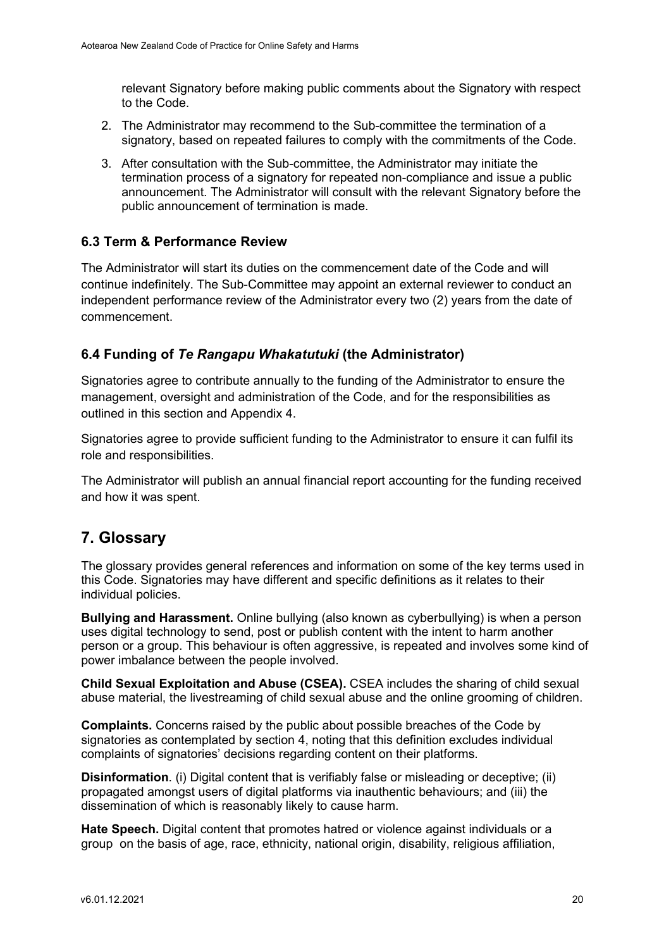relevant Signatory before making public comments about the Signatory with respect to the Code.

- 2. The Administrator may recommend to the Sub-committee the termination of a signatory, based on repeated failures to comply with the commitments of the Code.
- 3. After consultation with the Sub-committee, the Administrator may initiate the termination process of a signatory for repeated non-compliance and issue a public announcement. The Administrator will consult with the relevant Signatory before the public announcement of termination is made.

### 6.3 Term & Performance Review

The Administrator will start its duties on the commencement date of the Code and will continue indefinitely. The Sub-Committee may appoint an external reviewer to conduct an independent performance review of the Administrator every two (2) years from the date of commencement.

### 6.4 Funding of Te Rangapu Whakatutuki (the Administrator)

Signatories agree to contribute annually to the funding of the Administrator to ensure the management, oversight and administration of the Code, and for the responsibilities as outlined in this section and Appendix 4.

Signatories agree to provide sufficient funding to the Administrator to ensure it can fulfil its role and responsibilities.

The Administrator will publish an annual financial report accounting for the funding received and how it was spent.

# 7. Glossary

The glossary provides general references and information on some of the key terms used in this Code. Signatories may have different and specific definitions as it relates to their individual policies.

Bullying and Harassment. Online bullying (also known as cyberbullying) is when a person uses digital technology to send, post or publish content with the intent to harm another person or a group. This behaviour is often aggressive, is repeated and involves some kind of power imbalance between the people involved.

Child Sexual Exploitation and Abuse (CSEA). CSEA includes the sharing of child sexual abuse material, the livestreaming of child sexual abuse and the online grooming of children.

Complaints. Concerns raised by the public about possible breaches of the Code by signatories as contemplated by section 4, noting that this definition excludes individual complaints of signatories' decisions regarding content on their platforms.

Disinformation. (i) Digital content that is verifiably false or misleading or deceptive; (ii) propagated amongst users of digital platforms via inauthentic behaviours; and (iii) the dissemination of which is reasonably likely to cause harm.

Hate Speech. Digital content that promotes hatred or violence against individuals or a group on the basis of age, race, ethnicity, national origin, disability, religious affiliation,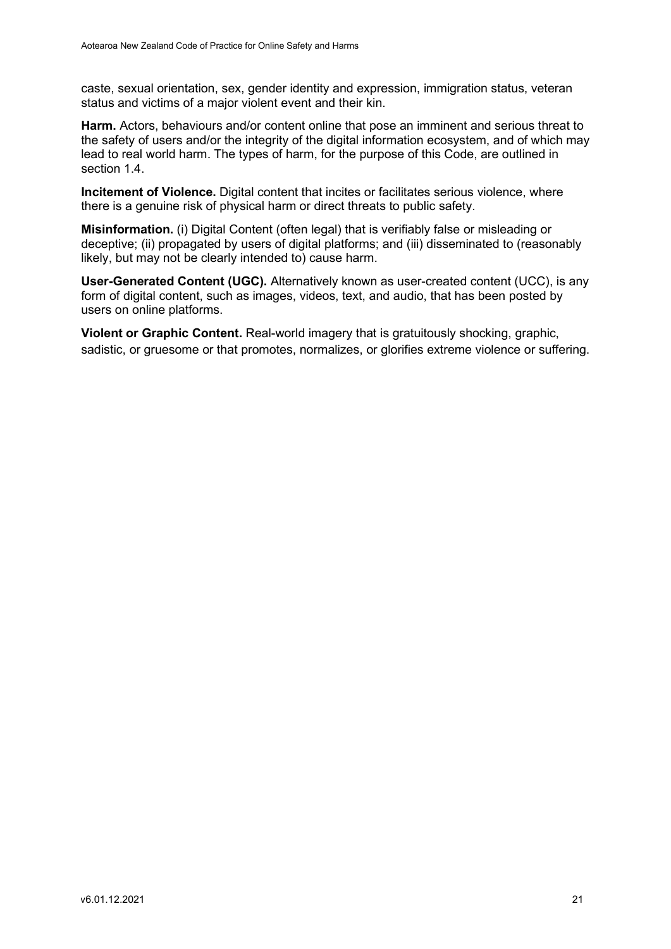caste, sexual orientation, sex, gender identity and expression, immigration status, veteran status and victims of a major violent event and their kin.

Harm. Actors, behaviours and/or content online that pose an imminent and serious threat to the safety of users and/or the integrity of the digital information ecosystem, and of which may lead to real world harm. The types of harm, for the purpose of this Code, are outlined in section 1.4.

Incitement of Violence. Digital content that incites or facilitates serious violence, where there is a genuine risk of physical harm or direct threats to public safety.

Misinformation. (i) Digital Content (often legal) that is verifiably false or misleading or deceptive; (ii) propagated by users of digital platforms; and (iii) disseminated to (reasonably likely, but may not be clearly intended to) cause harm.

User-Generated Content (UGC). Alternatively known as user-created content (UCC), is any form of digital content, such as images, videos, text, and audio, that has been posted by users on online platforms.

Violent or Graphic Content. Real-world imagery that is gratuitously shocking, graphic, sadistic, or gruesome or that promotes, normalizes, or glorifies extreme violence or suffering.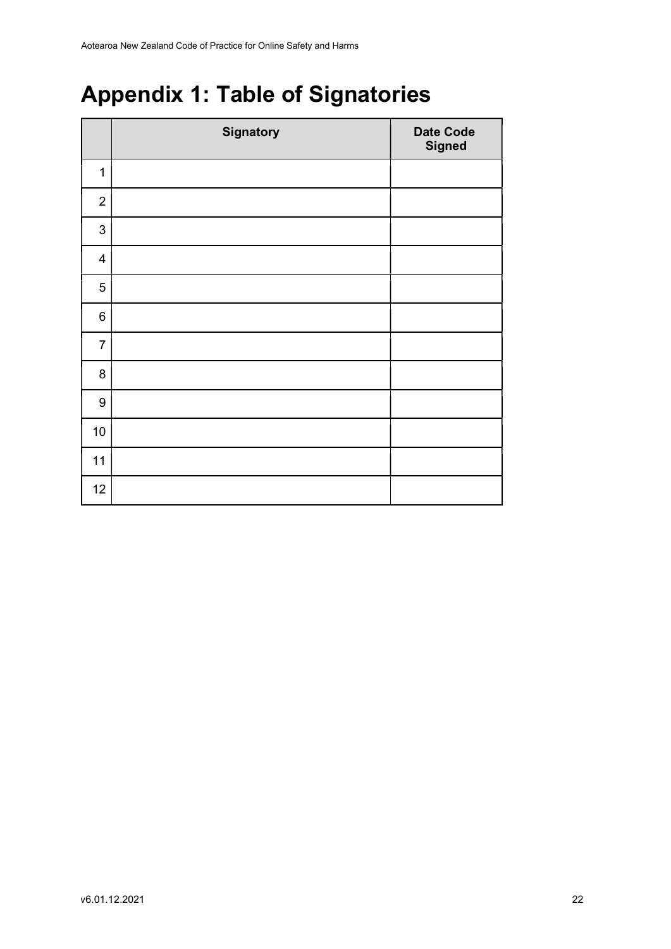# Appendix 1: Table of Signatories

|                           | <b>Signatory</b> | <b>Date Code</b><br><b>Signed</b> |
|---------------------------|------------------|-----------------------------------|
| $\mathbf 1$               |                  |                                   |
| $\overline{2}$            |                  |                                   |
| $\ensuremath{\mathsf{3}}$ |                  |                                   |
| $\overline{\mathbf{4}}$   |                  |                                   |
| 5                         |                  |                                   |
| $\,6$                     |                  |                                   |
| $\overline{7}$            |                  |                                   |
| 8                         |                  |                                   |
| $\boldsymbol{9}$          |                  |                                   |
| 10                        |                  |                                   |
| 11                        |                  |                                   |
| 12                        |                  |                                   |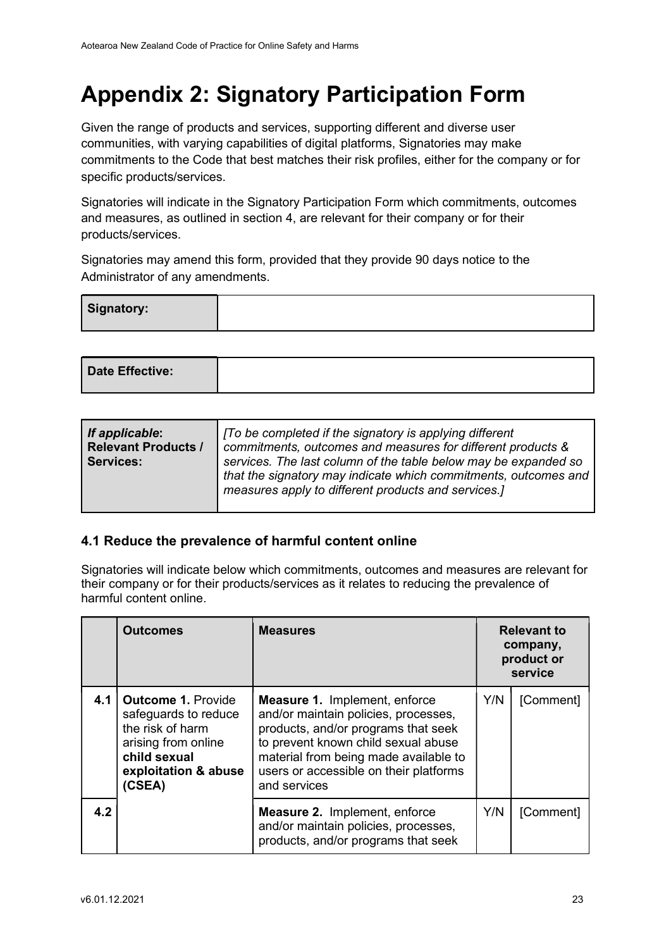# Appendix 2: Signatory Participation Form

Given the range of products and services, supporting different and diverse user communities, with varying capabilities of digital platforms, Signatories may make commitments to the Code that best matches their risk profiles, either for the company or for specific products/services.

Signatories will indicate in the Signatory Participation Form which commitments, outcomes and measures, as outlined in section 4, are relevant for their company or for their products/services.

Signatories may amend this form, provided that they provide 90 days notice to the Administrator of any amendments.

| Signatory: |  |
|------------|--|
|            |  |

| Date Effective: |  |
|-----------------|--|
|-----------------|--|

| If applicable:<br><b>Relevant Products /</b><br><b>Services:</b> | [To be completed if the signatory is applying different<br>commitments, outcomes and measures for different products &<br>services. The last column of the table below may be expanded so<br>that the signatory may indicate which commitments, outcomes and<br>measures apply to different products and services.] |
|------------------------------------------------------------------|---------------------------------------------------------------------------------------------------------------------------------------------------------------------------------------------------------------------------------------------------------------------------------------------------------------------|
|                                                                  |                                                                                                                                                                                                                                                                                                                     |

#### 4.1 Reduce the prevalence of harmful content online

Signatories will indicate below which commitments, outcomes and measures are relevant for their company or for their products/services as it relates to reducing the prevalence of harmful content online.

|     | <b>Outcomes</b>                                                                                                                               | <b>Measures</b>                                                                                                                                                                                                                                               | <b>Relevant to</b><br>company,<br>product or<br>service |           |
|-----|-----------------------------------------------------------------------------------------------------------------------------------------------|---------------------------------------------------------------------------------------------------------------------------------------------------------------------------------------------------------------------------------------------------------------|---------------------------------------------------------|-----------|
|     | 4.1   Outcome 1. Provide<br>safeguards to reduce<br>the risk of harm<br>arising from online<br>child sexual<br>exploitation & abuse<br>(CSEA) | <b>Measure 1. Implement, enforce</b><br>and/or maintain policies, processes,<br>products, and/or programs that seek<br>to prevent known child sexual abuse<br>material from being made available to<br>users or accessible on their platforms<br>and services | Y/N                                                     | [Comment] |
| 4.2 |                                                                                                                                               | <b>Measure 2.</b> Implement, enforce<br>and/or maintain policies, processes,<br>products, and/or programs that seek                                                                                                                                           | Y/N                                                     | [Comment] |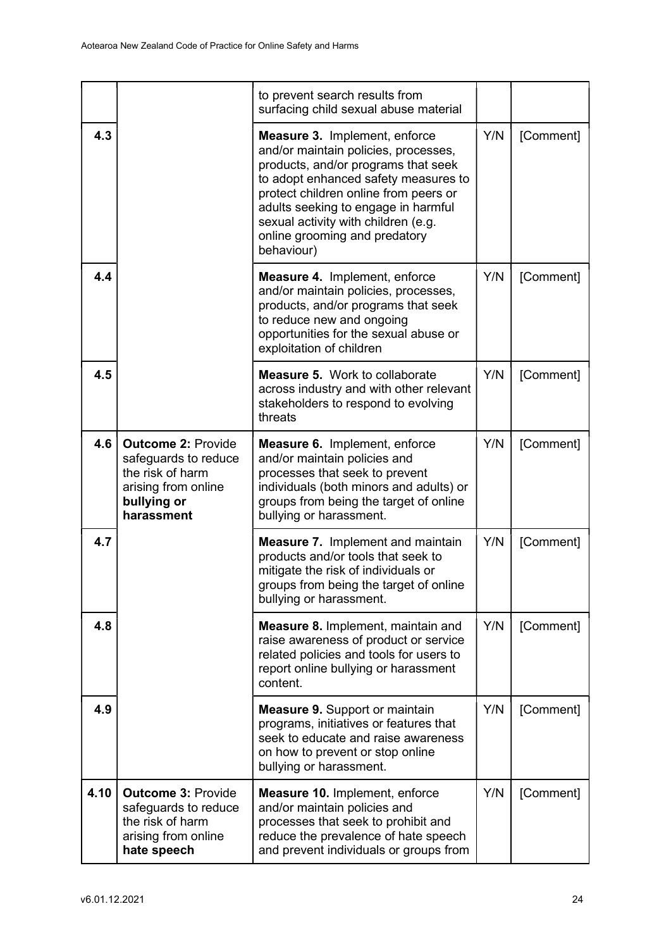|      |                                                                                                                           | to prevent search results from<br>surfacing child sexual abuse material                                                                                                                                                                                                                                                           |     |           |
|------|---------------------------------------------------------------------------------------------------------------------------|-----------------------------------------------------------------------------------------------------------------------------------------------------------------------------------------------------------------------------------------------------------------------------------------------------------------------------------|-----|-----------|
| 4.3  |                                                                                                                           | <b>Measure 3. Implement, enforce</b><br>and/or maintain policies, processes,<br>products, and/or programs that seek<br>to adopt enhanced safety measures to<br>protect children online from peers or<br>adults seeking to engage in harmful<br>sexual activity with children (e.g.<br>online grooming and predatory<br>behaviour) | Y/N | [Comment] |
| 4.4  |                                                                                                                           | <b>Measure 4.</b> Implement, enforce<br>and/or maintain policies, processes,<br>products, and/or programs that seek<br>to reduce new and ongoing<br>opportunities for the sexual abuse or<br>exploitation of children                                                                                                             | Y/N | [Comment] |
| 4.5  |                                                                                                                           | <b>Measure 5.</b> Work to collaborate<br>across industry and with other relevant<br>stakeholders to respond to evolving<br>threats                                                                                                                                                                                                | Y/N | [Comment] |
| 4.6  | <b>Outcome 2: Provide</b><br>safeguards to reduce<br>the risk of harm<br>arising from online<br>bullying or<br>harassment | Measure 6. Implement, enforce<br>and/or maintain policies and<br>processes that seek to prevent<br>individuals (both minors and adults) or<br>groups from being the target of online<br>bullying or harassment.                                                                                                                   | Y/N | [Comment] |
| 4.7  |                                                                                                                           | <b>Measure 7.</b> Implement and maintain<br>products and/or tools that seek to<br>mitigate the risk of individuals or<br>groups from being the target of online<br>bullying or harassment.                                                                                                                                        | Y/N | [Comment] |
| 4.8  |                                                                                                                           | <b>Measure 8. Implement, maintain and</b><br>raise awareness of product or service<br>related policies and tools for users to<br>report online bullying or harassment<br>content.                                                                                                                                                 | Y/N | [Comment] |
| 4.9  |                                                                                                                           | <b>Measure 9. Support or maintain</b><br>programs, initiatives or features that<br>seek to educate and raise awareness<br>on how to prevent or stop online<br>bullying or harassment.                                                                                                                                             | Y/N | [Comment] |
| 4.10 | <b>Outcome 3: Provide</b><br>safeguards to reduce<br>the risk of harm<br>arising from online<br>hate speech               | <b>Measure 10. Implement, enforce</b><br>and/or maintain policies and<br>processes that seek to prohibit and<br>reduce the prevalence of hate speech<br>and prevent individuals or groups from                                                                                                                                    | Y/N | [Comment] |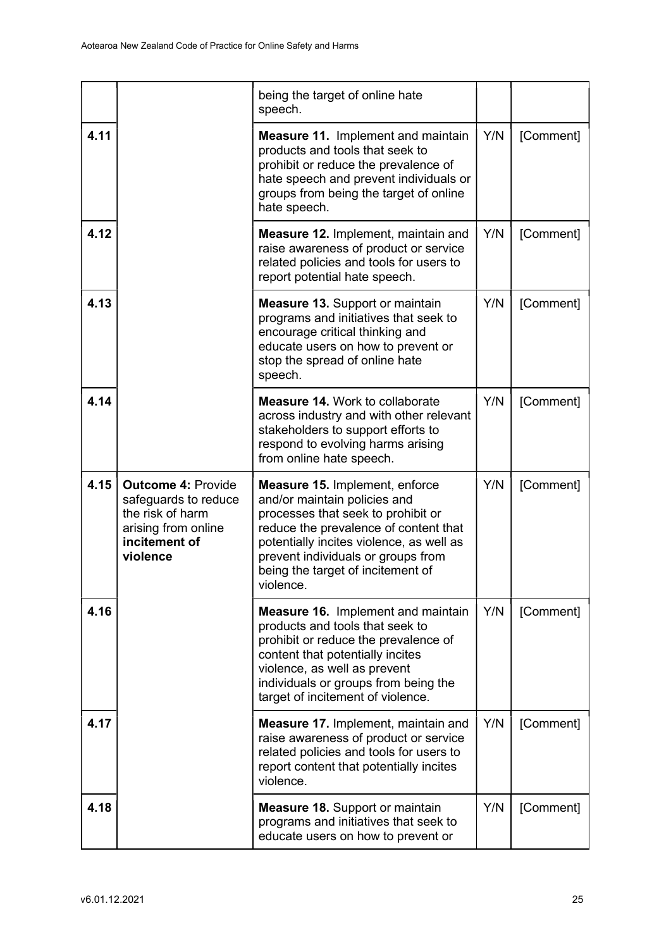|      |                                                                                                                           | being the target of online hate<br>speech.                                                                                                                                                                                                                                               |     |           |
|------|---------------------------------------------------------------------------------------------------------------------------|------------------------------------------------------------------------------------------------------------------------------------------------------------------------------------------------------------------------------------------------------------------------------------------|-----|-----------|
| 4.11 |                                                                                                                           | <b>Measure 11.</b> Implement and maintain<br>products and tools that seek to<br>prohibit or reduce the prevalence of<br>hate speech and prevent individuals or<br>groups from being the target of online<br>hate speech.                                                                 | Y/N | [Comment] |
| 4.12 |                                                                                                                           | Measure 12. Implement, maintain and<br>raise awareness of product or service<br>related policies and tools for users to<br>report potential hate speech.                                                                                                                                 | Y/N | [Comment] |
| 4.13 |                                                                                                                           | <b>Measure 13. Support or maintain</b><br>programs and initiatives that seek to<br>encourage critical thinking and<br>educate users on how to prevent or<br>stop the spread of online hate<br>speech.                                                                                    | Y/N | [Comment] |
| 4.14 |                                                                                                                           | <b>Measure 14. Work to collaborate</b><br>across industry and with other relevant<br>stakeholders to support efforts to<br>respond to evolving harms arising<br>from online hate speech.                                                                                                 | Y/N | [Comment] |
| 4.15 | <b>Outcome 4: Provide</b><br>safeguards to reduce<br>the risk of harm<br>arising from online<br>incitement of<br>violence | <b>Measure 15. Implement, enforce</b><br>and/or maintain policies and<br>processes that seek to prohibit or<br>reduce the prevalence of content that<br>potentially incites violence, as well as<br>prevent individuals or groups from<br>being the target of incitement of<br>violence. | Y/N | [Comment] |
| 4.16 |                                                                                                                           | <b>Measure 16.</b> Implement and maintain<br>products and tools that seek to<br>prohibit or reduce the prevalence of<br>content that potentially incites<br>violence, as well as prevent<br>individuals or groups from being the<br>target of incitement of violence.                    | Y/N | [Comment] |
| 4.17 |                                                                                                                           | <b>Measure 17. Implement, maintain and</b><br>raise awareness of product or service<br>related policies and tools for users to<br>report content that potentially incites<br>violence.                                                                                                   | Y/N | [Comment] |
| 4.18 |                                                                                                                           | <b>Measure 18. Support or maintain</b><br>programs and initiatives that seek to<br>educate users on how to prevent or                                                                                                                                                                    | Y/N | [Comment] |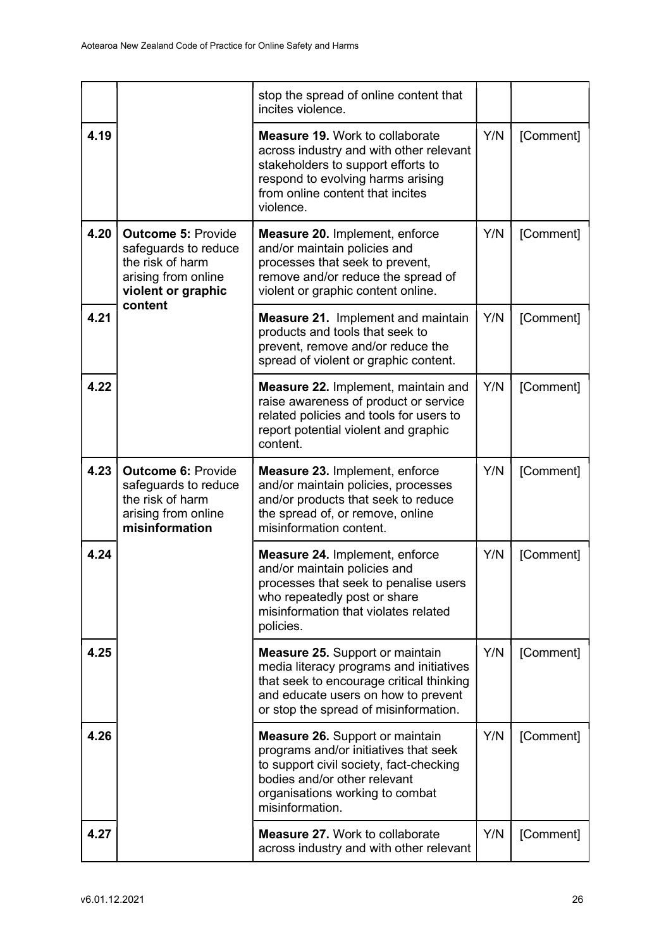|      |                                                                                                                               | stop the spread of online content that<br>incites violence.                                                                                                                                                      |     |           |
|------|-------------------------------------------------------------------------------------------------------------------------------|------------------------------------------------------------------------------------------------------------------------------------------------------------------------------------------------------------------|-----|-----------|
| 4.19 |                                                                                                                               | <b>Measure 19. Work to collaborate</b><br>across industry and with other relevant<br>stakeholders to support efforts to<br>respond to evolving harms arising<br>from online content that incites<br>violence.    | Y/N | [Comment] |
| 4.20 | <b>Outcome 5: Provide</b><br>safeguards to reduce<br>the risk of harm<br>arising from online<br>violent or graphic<br>content | Measure 20. Implement, enforce<br>and/or maintain policies and<br>processes that seek to prevent,<br>remove and/or reduce the spread of<br>violent or graphic content online.                                    | Y/N | [Comment] |
| 4.21 |                                                                                                                               | <b>Measure 21. Implement and maintain</b><br>products and tools that seek to<br>prevent, remove and/or reduce the<br>spread of violent or graphic content.                                                       | Y/N | [Comment] |
| 4.22 |                                                                                                                               | <b>Measure 22. Implement, maintain and</b><br>raise awareness of product or service<br>related policies and tools for users to<br>report potential violent and graphic<br>content.                               | Y/N | [Comment] |
| 4.23 | <b>Outcome 6: Provide</b><br>safeguards to reduce<br>the risk of harm<br>arising from online<br>misinformation                | <b>Measure 23. Implement, enforce</b><br>and/or maintain policies, processes<br>and/or products that seek to reduce<br>the spread of, or remove, online<br>misinformation content.                               | Y/N | [Comment] |
| 4.24 |                                                                                                                               | Measure 24. Implement, enforce<br>and/or maintain policies and<br>processes that seek to penalise users<br>who repeatedly post or share<br>misinformation that violates related<br>policies.                     | Y/N | [Comment] |
| 4.25 |                                                                                                                               | <b>Measure 25. Support or maintain</b><br>media literacy programs and initiatives<br>that seek to encourage critical thinking<br>and educate users on how to prevent<br>or stop the spread of misinformation.    | Y/N | [Comment] |
| 4.26 |                                                                                                                               | <b>Measure 26.</b> Support or maintain<br>programs and/or initiatives that seek<br>to support civil society, fact-checking<br>bodies and/or other relevant<br>organisations working to combat<br>misinformation. | Y/N | [Comment] |
| 4.27 |                                                                                                                               | <b>Measure 27. Work to collaborate</b><br>across industry and with other relevant                                                                                                                                | Y/N | [Comment] |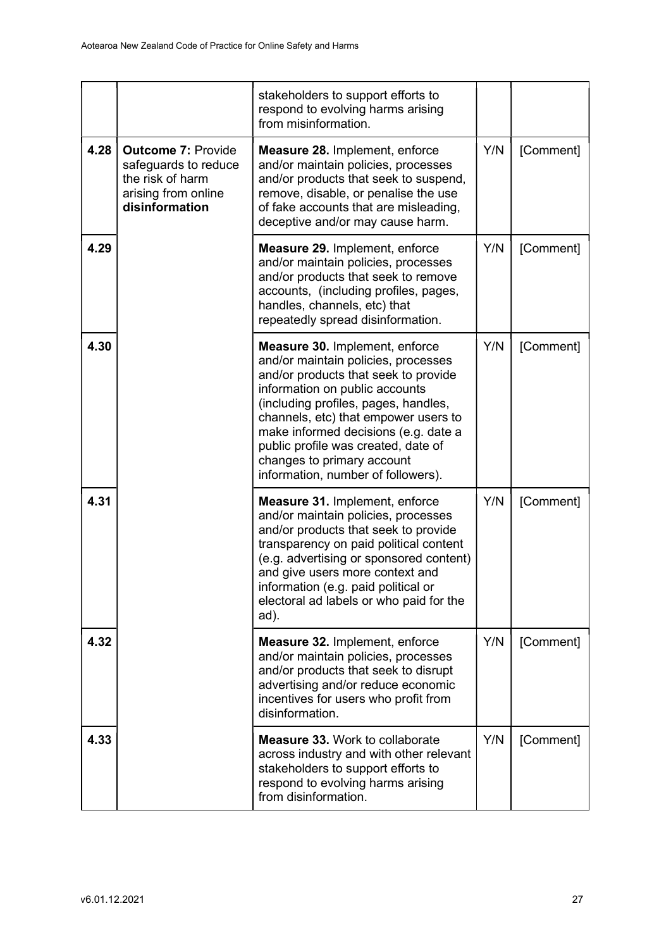|      |                                                                                                                | stakeholders to support efforts to<br>respond to evolving harms arising<br>from misinformation.                                                                                                                                                                                                                                                                                           |     |           |
|------|----------------------------------------------------------------------------------------------------------------|-------------------------------------------------------------------------------------------------------------------------------------------------------------------------------------------------------------------------------------------------------------------------------------------------------------------------------------------------------------------------------------------|-----|-----------|
| 4.28 | <b>Outcome 7: Provide</b><br>safeguards to reduce<br>the risk of harm<br>arising from online<br>disinformation | <b>Measure 28. Implement, enforce</b><br>and/or maintain policies, processes<br>and/or products that seek to suspend,<br>remove, disable, or penalise the use<br>of fake accounts that are misleading,<br>deceptive and/or may cause harm.                                                                                                                                                | Y/N | [Comment] |
| 4.29 |                                                                                                                | Measure 29. Implement, enforce<br>and/or maintain policies, processes<br>and/or products that seek to remove<br>accounts, (including profiles, pages,<br>handles, channels, etc) that<br>repeatedly spread disinformation.                                                                                                                                                                | Y/N | [Comment] |
| 4.30 |                                                                                                                | <b>Measure 30. Implement, enforce</b><br>and/or maintain policies, processes<br>and/or products that seek to provide<br>information on public accounts<br>(including profiles, pages, handles,<br>channels, etc) that empower users to<br>make informed decisions (e.g. date a<br>public profile was created, date of<br>changes to primary account<br>information, number of followers). | Y/N | [Comment] |
| 4.31 |                                                                                                                | <b>Measure 31. Implement, enforce</b><br>and/or maintain policies, processes<br>and/or products that seek to provide<br>transparency on paid political content<br>(e.g. advertising or sponsored content)<br>and give users more context and<br>information (e.g. paid political or<br>electoral ad labels or who paid for the<br>ad).                                                    | Y/N | [Comment] |
| 4.32 |                                                                                                                | Measure 32. Implement, enforce<br>and/or maintain policies, processes<br>and/or products that seek to disrupt<br>advertising and/or reduce economic<br>incentives for users who profit from<br>disinformation.                                                                                                                                                                            | Y/N | [Comment] |
| 4.33 |                                                                                                                | <b>Measure 33. Work to collaborate</b><br>across industry and with other relevant<br>stakeholders to support efforts to<br>respond to evolving harms arising<br>from disinformation.                                                                                                                                                                                                      | Y/N | [Comment] |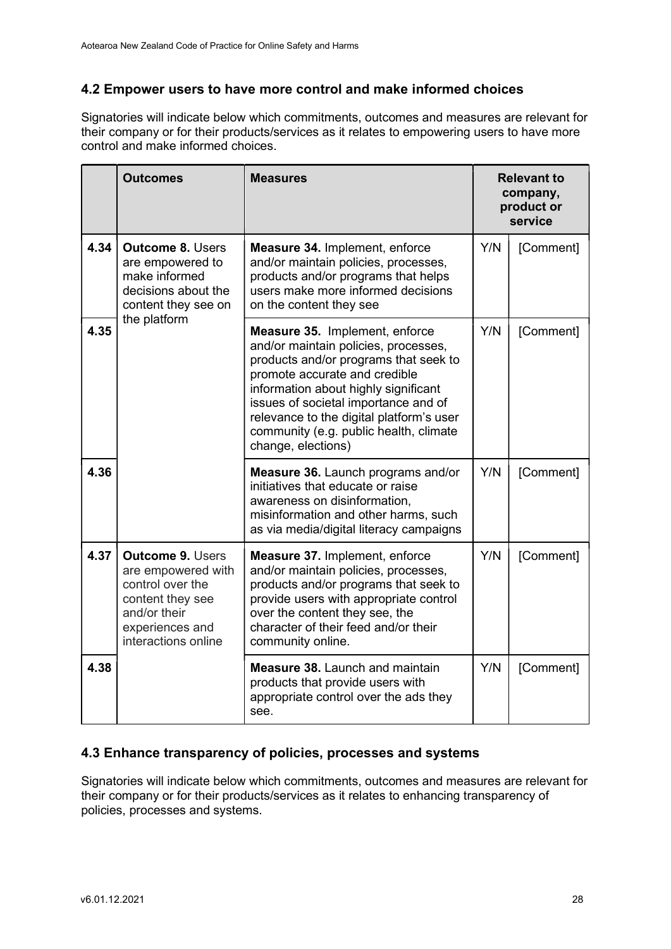### 4.2 Empower users to have more control and make informed choices

Signatories will indicate below which commitments, outcomes and measures are relevant for their company or for their products/services as it relates to empowering users to have more control and make informed choices.

|      | <b>Outcomes</b>                                                                                                                                 | <b>Measures</b>                                                                                                                                                                                                                                                                                                                              | <b>Relevant to</b><br>company,<br>product or<br>service |           |
|------|-------------------------------------------------------------------------------------------------------------------------------------------------|----------------------------------------------------------------------------------------------------------------------------------------------------------------------------------------------------------------------------------------------------------------------------------------------------------------------------------------------|---------------------------------------------------------|-----------|
| 4.34 | <b>Outcome 8. Users</b><br>are empowered to<br>make informed<br>decisions about the<br>content they see on<br>the platform                      | Measure 34. Implement, enforce<br>and/or maintain policies, processes,<br>products and/or programs that helps<br>users make more informed decisions<br>on the content they see                                                                                                                                                               | Y/N                                                     | [Comment] |
| 4.35 |                                                                                                                                                 | Measure 35. Implement, enforce<br>and/or maintain policies, processes,<br>products and/or programs that seek to<br>promote accurate and credible<br>information about highly significant<br>issues of societal importance and of<br>relevance to the digital platform's user<br>community (e.g. public health, climate<br>change, elections) | Y/N                                                     | [Comment] |
| 4.36 |                                                                                                                                                 | <b>Measure 36.</b> Launch programs and/or<br>initiatives that educate or raise<br>awareness on disinformation,<br>misinformation and other harms, such<br>as via media/digital literacy campaigns                                                                                                                                            | Y/N                                                     | [Comment] |
| 4.37 | <b>Outcome 9. Users</b><br>are empowered with<br>control over the<br>content they see<br>and/or their<br>experiences and<br>interactions online | Measure 37. Implement, enforce<br>and/or maintain policies, processes,<br>products and/or programs that seek to<br>provide users with appropriate control<br>over the content they see, the<br>character of their feed and/or their<br>community online.                                                                                     | Y/N                                                     | [Comment] |
| 4.38 |                                                                                                                                                 | <b>Measure 38. Launch and maintain</b><br>products that provide users with<br>appropriate control over the ads they<br>see.                                                                                                                                                                                                                  | Y/N                                                     | [Comment] |

#### 4.3 Enhance transparency of policies, processes and systems

Signatories will indicate below which commitments, outcomes and measures are relevant for their company or for their products/services as it relates to enhancing transparency of policies, processes and systems.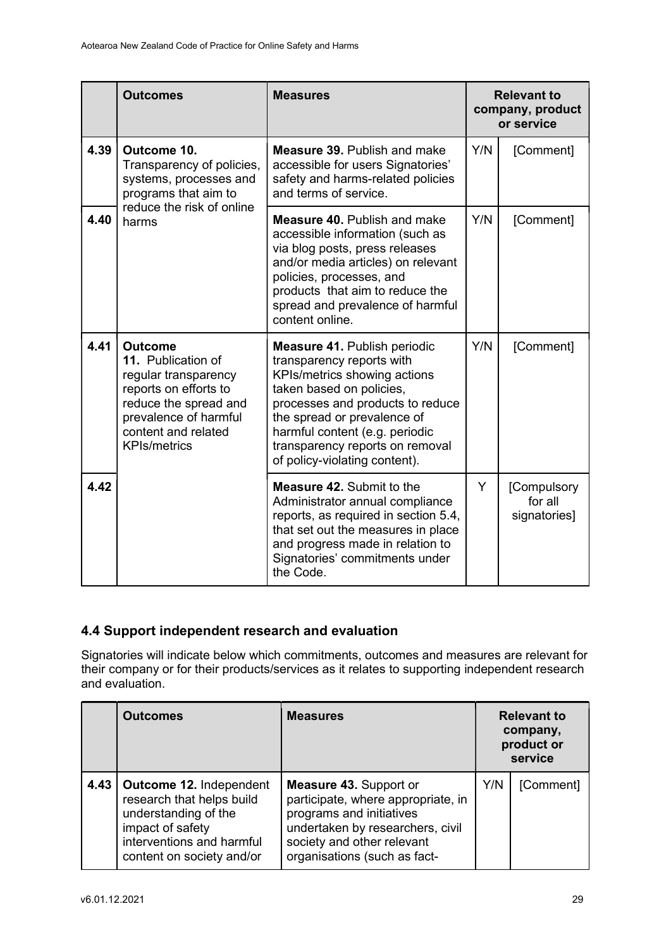|      | <b>Outcomes</b>                                                                                                                                                                       | <b>Measures</b>                                                                                                                                                                                                                                                                                       |     | <b>Relevant to</b><br>company, product<br>or service |
|------|---------------------------------------------------------------------------------------------------------------------------------------------------------------------------------------|-------------------------------------------------------------------------------------------------------------------------------------------------------------------------------------------------------------------------------------------------------------------------------------------------------|-----|------------------------------------------------------|
| 4.39 | Outcome 10.<br>Transparency of policies,<br>systems, processes and<br>programs that aim to<br>reduce the risk of online<br>harms                                                      | <b>Measure 39. Publish and make</b><br>accessible for users Signatories'<br>safety and harms-related policies<br>and terms of service.                                                                                                                                                                | Y/N | [Comment]                                            |
| 4.40 |                                                                                                                                                                                       | <b>Measure 40. Publish and make</b><br>accessible information (such as<br>via blog posts, press releases<br>and/or media articles) on relevant<br>policies, processes, and<br>products that aim to reduce the<br>spread and prevalence of harmful<br>content online.                                  | Y/N | [Comment]                                            |
| 4.41 | <b>Outcome</b><br>11. Publication of<br>regular transparency<br>reports on efforts to<br>reduce the spread and<br>prevalence of harmful<br>content and related<br><b>KPIs/metrics</b> | <b>Measure 41. Publish periodic</b><br>transparency reports with<br>KPIs/metrics showing actions<br>taken based on policies,<br>processes and products to reduce<br>the spread or prevalence of<br>harmful content (e.g. periodic<br>transparency reports on removal<br>of policy-violating content). | Y/N | [Comment]                                            |
| 4.42 |                                                                                                                                                                                       | <b>Measure 42. Submit to the</b><br>Administrator annual compliance<br>reports, as required in section 5.4,<br>that set out the measures in place<br>and progress made in relation to<br>Signatories' commitments under<br>the Code.                                                                  | Y   | [Compulsory<br>for all<br>signatories]               |

# 4.4 Support independent research and evaluation

Signatories will indicate below which commitments, outcomes and measures are relevant for their company or for their products/services as it relates to supporting independent research and evaluation.

|      | <b>Outcomes</b>                                                                                                                                            | <b>Measures</b>                                                                                                                                                                            | <b>Relevant to</b><br>company,<br>product or<br>service |           |
|------|------------------------------------------------------------------------------------------------------------------------------------------------------------|--------------------------------------------------------------------------------------------------------------------------------------------------------------------------------------------|---------------------------------------------------------|-----------|
| 4.43 | Outcome 12. Independent<br>research that helps build<br>understanding of the<br>impact of safety<br>interventions and harmful<br>content on society and/or | Measure 43. Support or<br>participate, where appropriate, in<br>programs and initiatives<br>undertaken by researchers, civil<br>society and other relevant<br>organisations (such as fact- | Y/N                                                     | [Comment] |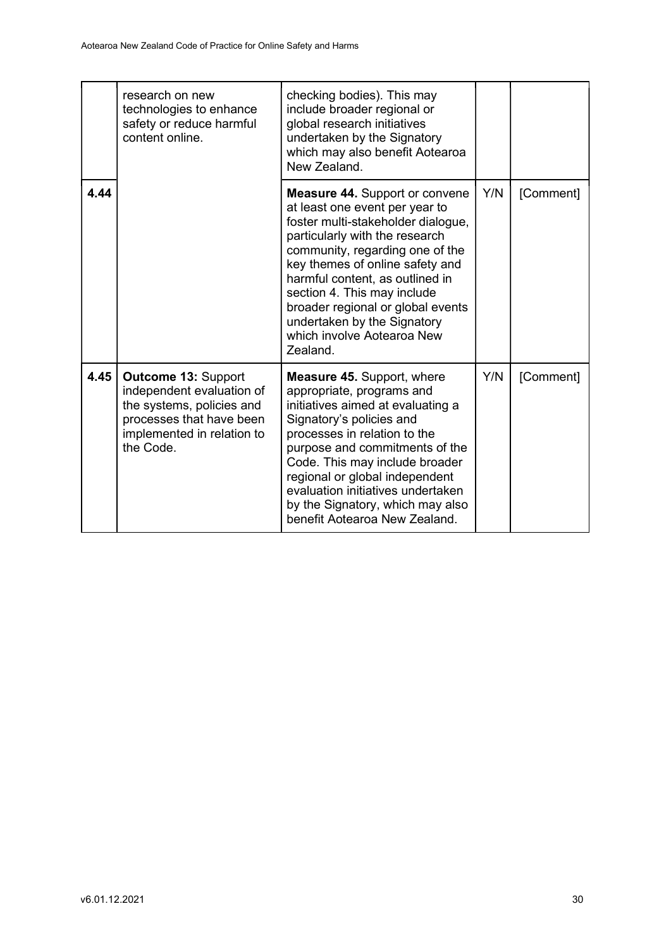|      | research on new<br>technologies to enhance<br>safety or reduce harmful<br>content online.                                                                   | checking bodies). This may<br>include broader regional or<br>global research initiatives<br>undertaken by the Signatory<br>which may also benefit Aotearoa<br>New Zealand.                                                                                                                                                                                                                            |     |           |
|------|-------------------------------------------------------------------------------------------------------------------------------------------------------------|-------------------------------------------------------------------------------------------------------------------------------------------------------------------------------------------------------------------------------------------------------------------------------------------------------------------------------------------------------------------------------------------------------|-----|-----------|
| 4.44 |                                                                                                                                                             | <b>Measure 44. Support or convene</b><br>at least one event per year to<br>foster multi-stakeholder dialogue,<br>particularly with the research<br>community, regarding one of the<br>key themes of online safety and<br>harmful content, as outlined in<br>section 4. This may include<br>broader regional or global events<br>undertaken by the Signatory<br>which involve Aotearoa New<br>Zealand. | Y/N | [Comment] |
| 4.45 | <b>Outcome 13: Support</b><br>independent evaluation of<br>the systems, policies and<br>processes that have been<br>implemented in relation to<br>the Code. | <b>Measure 45. Support, where</b><br>appropriate, programs and<br>initiatives aimed at evaluating a<br>Signatory's policies and<br>processes in relation to the<br>purpose and commitments of the<br>Code. This may include broader<br>regional or global independent<br>evaluation initiatives undertaken<br>by the Signatory, which may also<br>benefit Aotearoa New Zealand.                       | Y/N | [Comment] |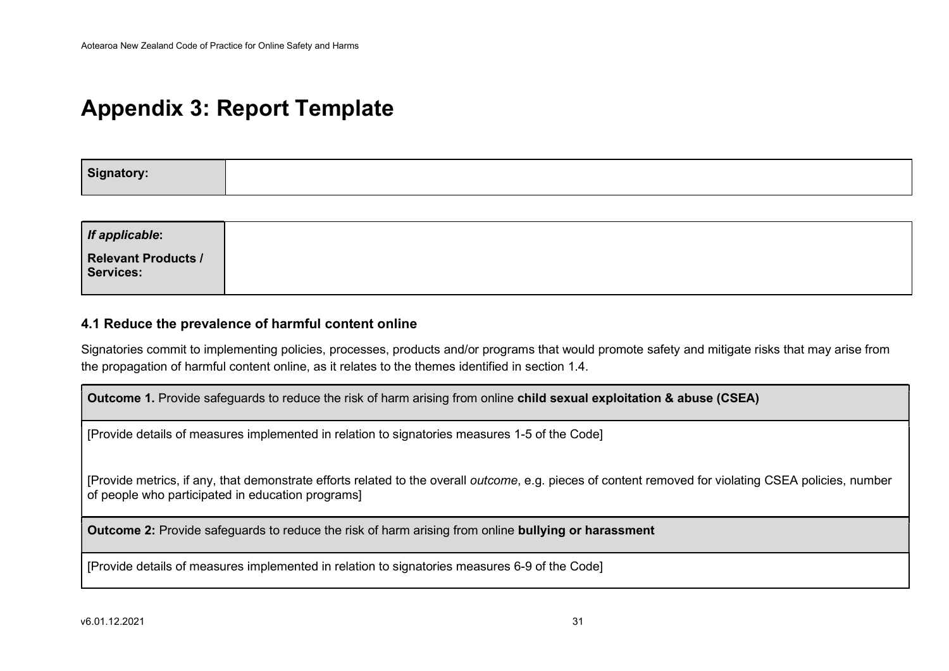# Appendix 3: Report Template

| Signatory: |  |  |
|------------|--|--|
|            |  |  |

| <b>Relevant Products /</b><br>Services: |
|-----------------------------------------|
|                                         |

#### 4.1 Reduce the prevalence of harmful content online

Signatories commit to implementing policies, processes, products and/or programs that would promote safety and mitigate risks that may arise from the propagation of harmful content online, as it relates to the themes identified in section 1.4.

Outcome 1. Provide safeguards to reduce the risk of harm arising from online child sexual exploitation & abuse (CSEA)

[Provide details of measures implemented in relation to signatories measures 1-5 of the Code]

[Provide metrics, if any, that demonstrate efforts related to the overall *outcome*, e.g. pieces of content removed for violating CSEA policies, number of people who participated in education programs]

Outcome 2: Provide safeguards to reduce the risk of harm arising from online bullying or harassment

[Provide details of measures implemented in relation to signatories measures 6-9 of the Code]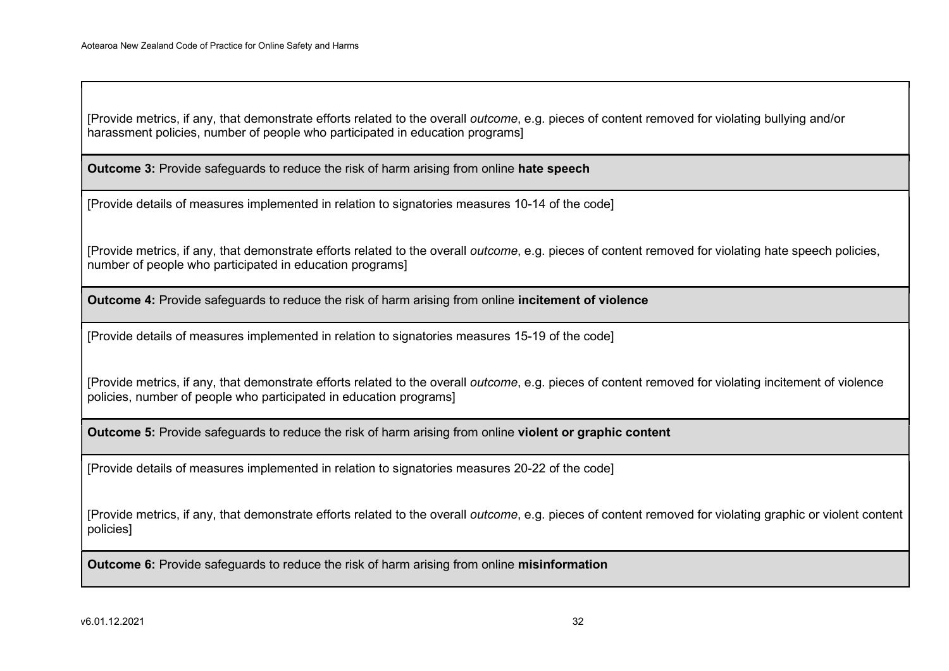[Provide metrics, if any, that demonstrate efforts related to the overall outcome, e.g. pieces of content removed for violating bullying and/or harassment policies, number of people who participated in education programs]

**Outcome 3:** Provide safeguards to reduce the risk of harm arising from online hate speech

[Provide details of measures implemented in relation to signatories measures 10-14 of the code]

[Provide metrics, if any, that demonstrate efforts related to the overall outcome, e.g. pieces of content removed for violating hate speech policies, number of people who participated in education programs]

Outcome 4: Provide safeguards to reduce the risk of harm arising from online incitement of violence

[Provide details of measures implemented in relation to signatories measures 15-19 of the code]

[Provide metrics, if any, that demonstrate efforts related to the overall outcome, e.g. pieces of content removed for violating incitement of violence policies, number of people who participated in education programs]

Outcome 5: Provide safeguards to reduce the risk of harm arising from online violent or graphic content

[Provide details of measures implemented in relation to signatories measures 20-22 of the code]

[Provide metrics, if any, that demonstrate efforts related to the overall *outcome*, e.g. pieces of content removed for violating graphic or violent content policies]

**Outcome 6:** Provide safeguards to reduce the risk of harm arising from online misinformation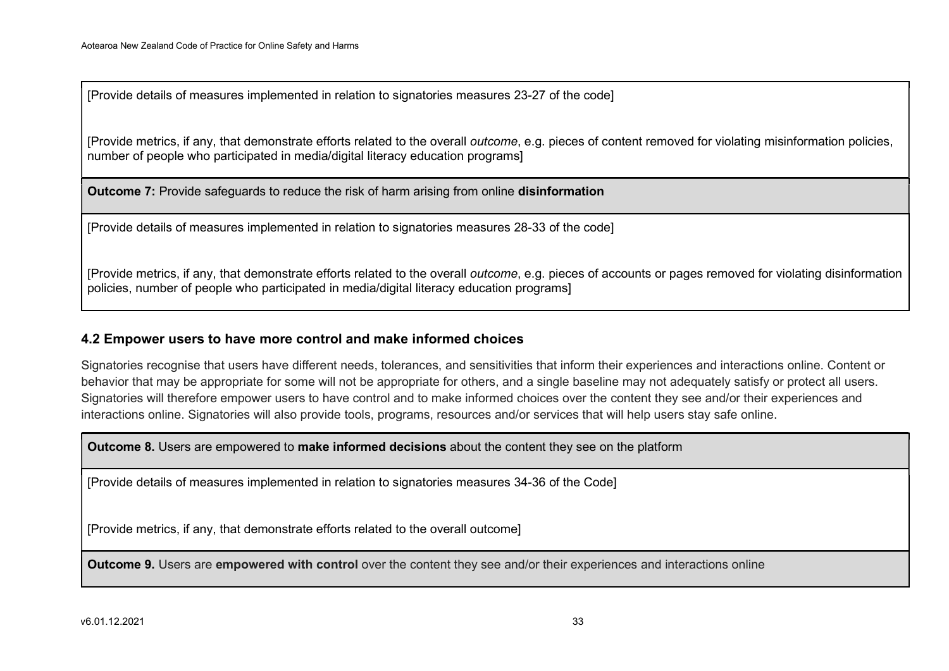[Provide details of measures implemented in relation to signatories measures 23-27 of the code]

[Provide metrics, if any, that demonstrate efforts related to the overall outcome, e.g. pieces of content removed for violating misinformation policies, number of people who participated in media/digital literacy education programs]

**Outcome 7:** Provide safeguards to reduce the risk of harm arising from online **disinformation** 

[Provide details of measures implemented in relation to signatories measures 28-33 of the code]

[Provide metrics, if any, that demonstrate efforts related to the overall outcome, e.g. pieces of accounts or pages removed for violating disinformation policies, number of people who participated in media/digital literacy education programs]

#### 4.2 Empower users to have more control and make informed choices

Signatories recognise that users have different needs, tolerances, and sensitivities that inform their experiences and interactions online. Content or behavior that may be appropriate for some will not be appropriate for others, and a single baseline may not adequately satisfy or protect all users. Signatories will therefore empower users to have control and to make informed choices over the content they see and/or their experiences and interactions online. Signatories will also provide tools, programs, resources and/or services that will help users stay safe online.

**Outcome 8.** Users are empowered to **make informed decisions** about the content they see on the platform

[Provide details of measures implemented in relation to signatories measures 34-36 of the Code]

[Provide metrics, if any, that demonstrate efforts related to the overall outcome]

Outcome 9. Users are empowered with control over the content they see and/or their experiences and interactions online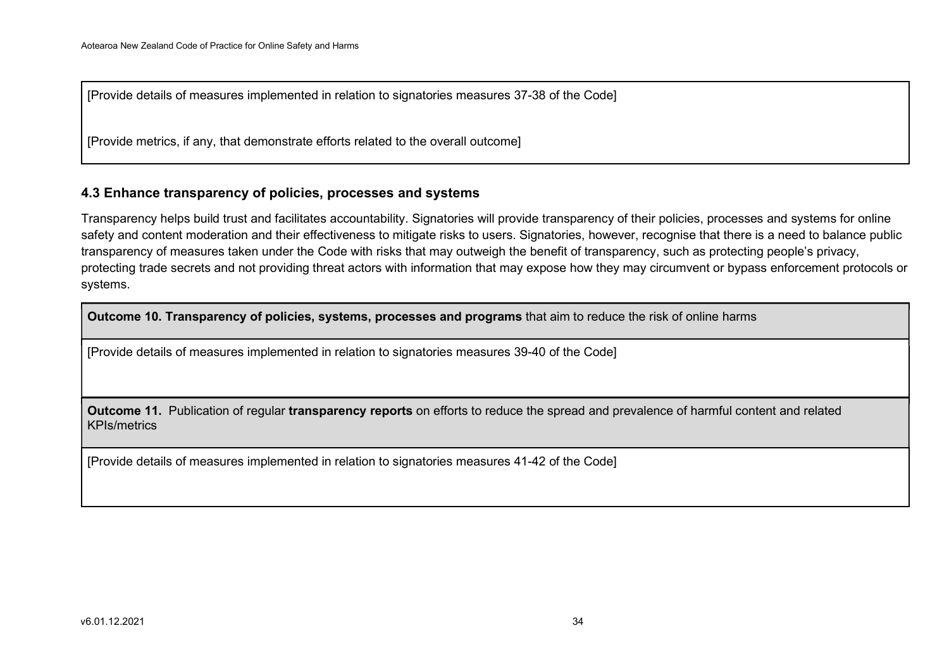[Provide details of measures implemented in relation to signatories measures 37-38 of the Code]

[Provide metrics, if any, that demonstrate efforts related to the overall outcome]

#### 4.3 Enhance transparency of policies, processes and systems

Transparency helps build trust and facilitates accountability. Signatories will provide transparency of their policies, processes and systems for online safety and content moderation and their effectiveness to mitigate risks to users. Signatories, however, recognise that there is a need to balance public transparency of measures taken under the Code with risks that may outweigh the benefit of transparency, such as protecting people's privacy, protecting trade secrets and not providing threat actors with information that may expose how they may circumvent or bypass enforcement protocols or systems.

Outcome 10. Transparency of policies, systems, processes and programs that aim to reduce the risk of online harms

[Provide details of measures implemented in relation to signatories measures 39-40 of the Code]

Outcome 11. Publication of regular transparency reports on efforts to reduce the spread and prevalence of harmful content and related KPIs/metrics

[Provide details of measures implemented in relation to signatories measures 41-42 of the Code]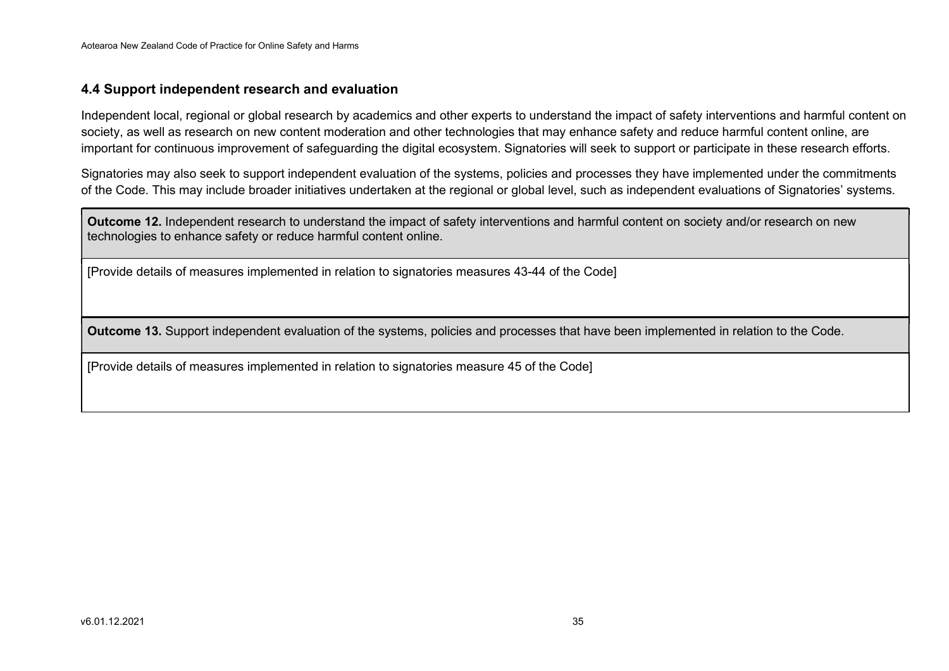#### 4.4 Support independent research and evaluation

Independent local, regional or global research by academics and other experts to understand the impact of safety interventions and harmful content on society, as well as research on new content moderation and other technologies that may enhance safety and reduce harmful content online, are important for continuous improvement of safeguarding the digital ecosystem. Signatories will seek to support or participate in these research efforts.

Signatories may also seek to support independent evaluation of the systems, policies and processes they have implemented under the commitments of the Code. This may include broader initiatives undertaken at the regional or global level, such as independent evaluations of Signatories' systems.

Outcome 12. Independent research to understand the impact of safety interventions and harmful content on society and/or research on new technologies to enhance safety or reduce harmful content online.

[Provide details of measures implemented in relation to signatories measures 43-44 of the Code]

Outcome 13. Support independent evaluation of the systems, policies and processes that have been implemented in relation to the Code.

[Provide details of measures implemented in relation to signatories measure 45 of the Code]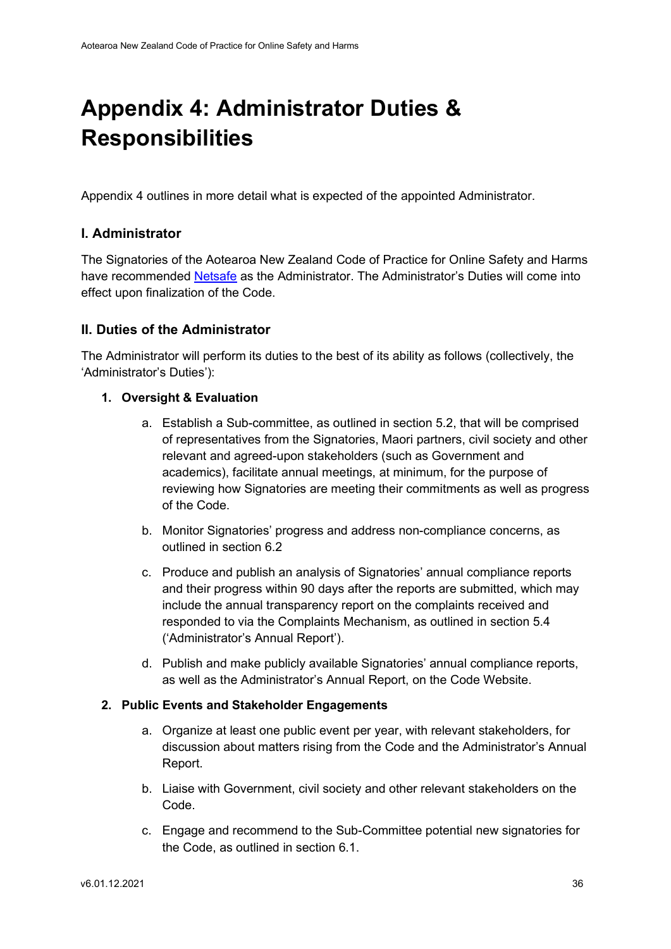# Appendix 4: Administrator Duties & **Responsibilities**

Appendix 4 outlines in more detail what is expected of the appointed Administrator.

### I. Administrator

The Signatories of the Aotearoa New Zealand Code of Practice for Online Safety and Harms have recommended Netsafe as the Administrator. The Administrator's Duties will come into effect upon finalization of the Code.

#### II. Duties of the Administrator

The Administrator will perform its duties to the best of its ability as follows (collectively, the 'Administrator's Duties'):

#### 1. Oversight & Evaluation

- a. Establish a Sub-committee, as outlined in section 5.2, that will be comprised of representatives from the Signatories, Maori partners, civil society and other relevant and agreed-upon stakeholders (such as Government and academics), facilitate annual meetings, at minimum, for the purpose of reviewing how Signatories are meeting their commitments as well as progress of the Code.
- b. Monitor Signatories' progress and address non-compliance concerns, as outlined in section 6.2
- c. Produce and publish an analysis of Signatories' annual compliance reports and their progress within 90 days after the reports are submitted, which may include the annual transparency report on the complaints received and responded to via the Complaints Mechanism, as outlined in section 5.4 ('Administrator's Annual Report').
- d. Publish and make publicly available Signatories' annual compliance reports, as well as the Administrator's Annual Report, on the Code Website.

#### 2. Public Events and Stakeholder Engagements

- a. Organize at least one public event per year, with relevant stakeholders, for discussion about matters rising from the Code and the Administrator's Annual Report.
- b. Liaise with Government, civil society and other relevant stakeholders on the Code.
- c. Engage and recommend to the Sub-Committee potential new signatories for the Code, as outlined in section 6.1.